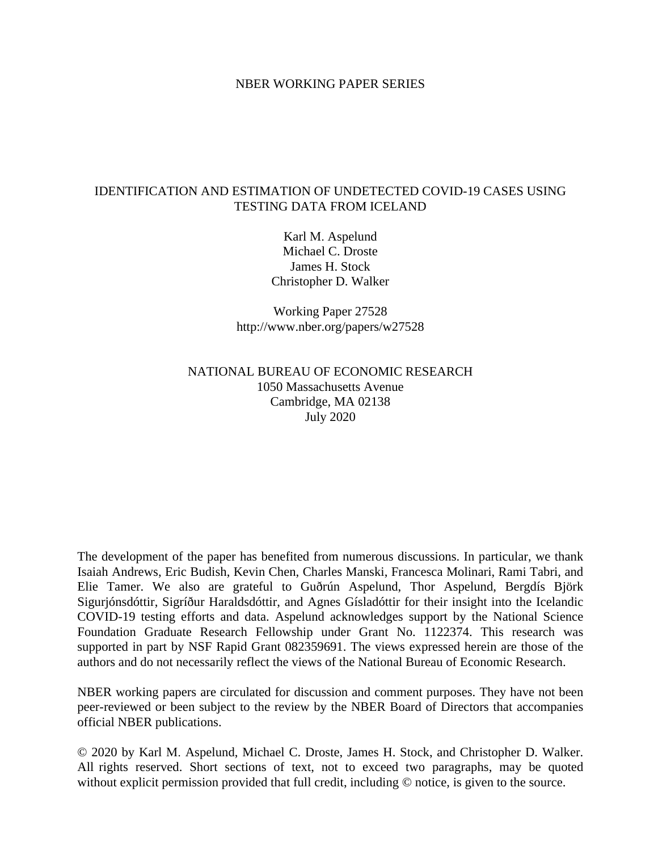### NBER WORKING PAPER SERIES

### IDENTIFICATION AND ESTIMATION OF UNDETECTED COVID-19 CASES USING TESTING DATA FROM ICELAND

Karl M. Aspelund Michael C. Droste James H. Stock Christopher D. Walker

Working Paper 27528 http://www.nber.org/papers/w27528

## NATIONAL BUREAU OF ECONOMIC RESEARCH 1050 Massachusetts Avenue Cambridge, MA 02138 July 2020

The development of the paper has benefited from numerous discussions. In particular, we thank Isaiah Andrews, Eric Budish, Kevin Chen, Charles Manski, Francesca Molinari, Rami Tabri, and Elie Tamer. We also are grateful to Guðrún Aspelund, Thor Aspelund, Bergdís Björk Sigurjónsdóttir, Sigríður Haraldsdóttir, and Agnes Gísladóttir for their insight into the Icelandic COVID-19 testing efforts and data. Aspelund acknowledges support by the National Science Foundation Graduate Research Fellowship under Grant No. 1122374. This research was supported in part by NSF Rapid Grant 082359691. The views expressed herein are those of the authors and do not necessarily reflect the views of the National Bureau of Economic Research.

NBER working papers are circulated for discussion and comment purposes. They have not been peer-reviewed or been subject to the review by the NBER Board of Directors that accompanies official NBER publications.

© 2020 by Karl M. Aspelund, Michael C. Droste, James H. Stock, and Christopher D. Walker. All rights reserved. Short sections of text, not to exceed two paragraphs, may be quoted without explicit permission provided that full credit, including  $\odot$  notice, is given to the source.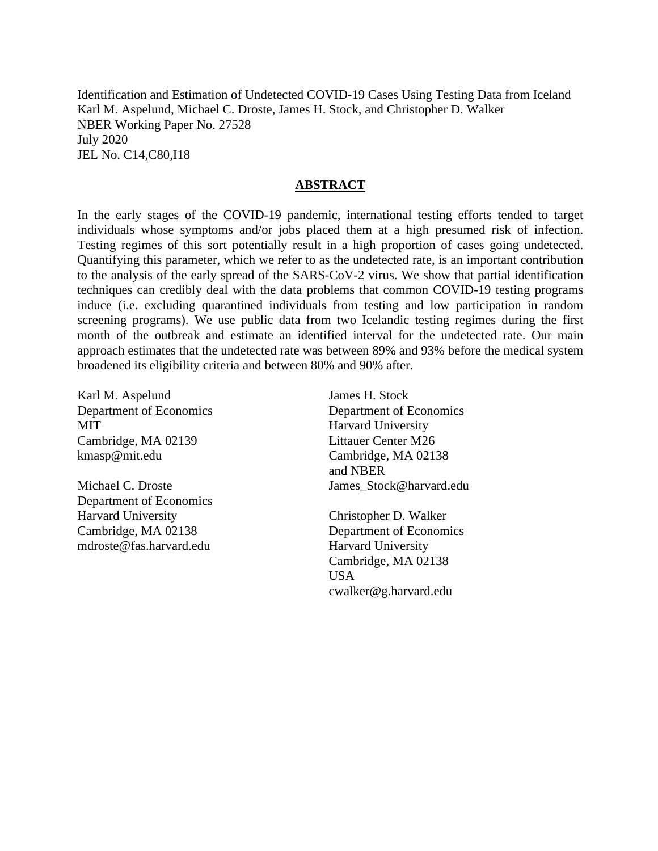Identification and Estimation of Undetected COVID-19 Cases Using Testing Data from Iceland Karl M. Aspelund, Michael C. Droste, James H. Stock, and Christopher D. Walker NBER Working Paper No. 27528 July 2020 JEL No. C14,C80,I18

### **ABSTRACT**

In the early stages of the COVID-19 pandemic, international testing efforts tended to target individuals whose symptoms and/or jobs placed them at a high presumed risk of infection. Testing regimes of this sort potentially result in a high proportion of cases going undetected. Quantifying this parameter, which we refer to as the undetected rate, is an important contribution to the analysis of the early spread of the SARS-CoV-2 virus. We show that partial identification techniques can credibly deal with the data problems that common COVID-19 testing programs induce (i.e. excluding quarantined individuals from testing and low participation in random screening programs). We use public data from two Icelandic testing regimes during the first month of the outbreak and estimate an identified interval for the undetected rate. Our main approach estimates that the undetected rate was between 89% and 93% before the medical system broadened its eligibility criteria and between 80% and 90% after.

Karl M. Aspelund Department of Economics MIT Cambridge, MA 02139 kmasp@mit.edu

Michael C. Droste Department of Economics Harvard University Cambridge, MA 02138 mdroste@fas.harvard.edu

James H. Stock Department of Economics Harvard University Littauer Center M26 Cambridge, MA 02138 and NBER James Stock@harvard.edu

Christopher D. Walker Department of Economics Harvard University Cambridge, MA 02138 USA cwalker@g.harvard.edu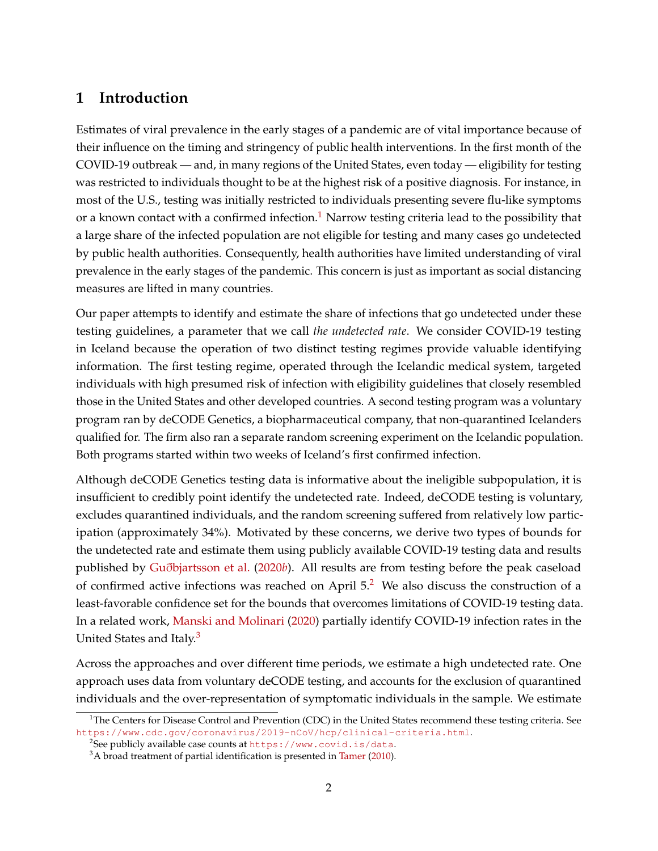# **1 Introduction**

Estimates of viral prevalence in the early stages of a pandemic are of vital importance because of their influence on the timing and stringency of public health interventions. In the first month of the COVID-19 outbreak — and, in many regions of the United States, even today — eligibility for testing was restricted to individuals thought to be at the highest risk of a positive diagnosis. For instance, in most of the U.S., testing was initially restricted to individuals presenting severe flu-like symptoms or a known contact with a confirmed infection.<sup>[1](#page-2-0)</sup> Narrow testing criteria lead to the possibility that a large share of the infected population are not eligible for testing and many cases go undetected by public health authorities. Consequently, health authorities have limited understanding of viral prevalence in the early stages of the pandemic. This concern is just as important as social distancing measures are lifted in many countries.

Our paper attempts to identify and estimate the share of infections that go undetected under these testing guidelines, a parameter that we call *the undetected rate*. We consider COVID-19 testing in Iceland because the operation of two distinct testing regimes provide valuable identifying information. The first testing regime, operated through the Icelandic medical system, targeted individuals with high presumed risk of infection with eligibility guidelines that closely resembled those in the United States and other developed countries. A second testing program was a voluntary program ran by deCODE Genetics, a biopharmaceutical company, that non-quarantined Icelanders qualified for. The firm also ran a separate random screening experiment on the Icelandic population. Both programs started within two weeks of Iceland's first confirmed infection.

Although deCODE Genetics testing data is informative about the ineligible subpopulation, it is insufficient to credibly point identify the undetected rate. Indeed, deCODE testing is voluntary, excludes quarantined individuals, and the random screening suffered from relatively low participation (approximately 34%). Motivated by these concerns, we derive two types of bounds for the undetected rate and estimate them using publicly available COVID-19 testing data and results published by Guð[bjartsson et al.](#page-16-0) [\(2020](#page-16-0)*b*). All results are from testing before the peak caseload of confirmed active infections was reached on April  $5<sup>2</sup>$  $5<sup>2</sup>$  $5<sup>2</sup>$  We also discuss the construction of a least-favorable confidence set for the bounds that overcomes limitations of COVID-19 testing data. In a related work, [Manski and Molinari](#page-16-1) [\(2020\)](#page-16-1) partially identify COVID-19 infection rates in the United States and Italy.<sup>[3](#page-2-2)</sup>

Across the approaches and over different time periods, we estimate a high undetected rate. One approach uses data from voluntary deCODE testing, and accounts for the exclusion of quarantined individuals and the over-representation of symptomatic individuals in the sample. We estimate

<span id="page-2-0"></span> $1$ The Centers for Disease Control and Prevention (CDC) in the United States recommend these testing criteria. See <https://www.cdc.gov/coronavirus/2019-nCoV/hcp/clinical-criteria.html>.

<span id="page-2-1"></span> $^{2}$ See publicly available case counts at <code><https://www.covid.is/data>.</code>

<span id="page-2-2"></span> $3A$  broad treatment of partial identification is presented in [Tamer](#page-17-0) [\(2010\)](#page-17-0).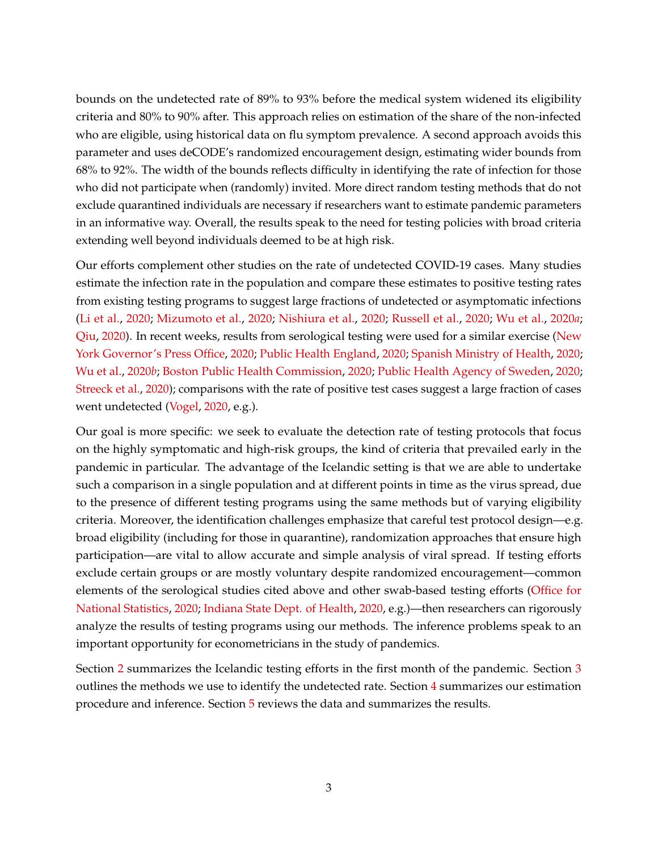bounds on the undetected rate of 89% to 93% before the medical system widened its eligibility criteria and 80% to 90% after. This approach relies on estimation of the share of the non-infected who are eligible, using historical data on flu symptom prevalence. A second approach avoids this parameter and uses deCODE's randomized encouragement design, estimating wider bounds from 68% to 92%. The width of the bounds reflects difficulty in identifying the rate of infection for those who did not participate when (randomly) invited. More direct random testing methods that do not exclude quarantined individuals are necessary if researchers want to estimate pandemic parameters in an informative way. Overall, the results speak to the need for testing policies with broad criteria extending well beyond individuals deemed to be at high risk.

Our efforts complement other studies on the rate of undetected COVID-19 cases. Many studies estimate the infection rate in the population and compare these estimates to positive testing rates from existing testing programs to suggest large fractions of undetected or asymptomatic infections [\(Li et al.,](#page-16-2) [2020;](#page-16-2) [Mizumoto et al.,](#page-16-3) [2020;](#page-16-3) [Nishiura et al.,](#page-16-4) [2020;](#page-16-4) [Russell et al.,](#page-17-1) [2020;](#page-17-1) [Wu et al.,](#page-17-2) [2020](#page-17-2)*a*; [Qiu,](#page-17-3) [2020\)](#page-17-3). In recent weeks, results from serological testing were used for a similar exercise [\(New](#page-16-5) [York Governor's Press Office,](#page-16-5) [2020;](#page-16-5) [Public Health England,](#page-17-4) [2020;](#page-17-4) [Spanish Ministry of Health,](#page-17-5) [2020;](#page-17-5) [Wu et al.,](#page-17-6) [2020](#page-17-6)*b*; [Boston Public Health Commission,](#page-16-6) [2020;](#page-16-6) [Public Health Agency of Sweden,](#page-16-7) [2020;](#page-16-7) [Streeck et al.,](#page-17-7) [2020\)](#page-17-7); comparisons with the rate of positive test cases suggest a large fraction of cases went undetected [\(Vogel,](#page-17-8) [2020,](#page-17-8) e.g.).

Our goal is more specific: we seek to evaluate the detection rate of testing protocols that focus on the highly symptomatic and high-risk groups, the kind of criteria that prevailed early in the pandemic in particular. The advantage of the Icelandic setting is that we are able to undertake such a comparison in a single population and at different points in time as the virus spread, due to the presence of different testing programs using the same methods but of varying eligibility criteria. Moreover, the identification challenges emphasize that careful test protocol design—e.g. broad eligibility (including for those in quarantine), randomization approaches that ensure high participation—are vital to allow accurate and simple analysis of viral spread. If testing efforts exclude certain groups or are mostly voluntary despite randomized encouragement—common elements of the serological studies cited above and other swab-based testing efforts [\(Office for](#page-16-8) [National Statistics,](#page-16-8) [2020;](#page-16-8) [Indiana State Dept. of Health,](#page-16-9) [2020,](#page-16-9) e.g.)—then researchers can rigorously analyze the results of testing programs using our methods. The inference problems speak to an important opportunity for econometricians in the study of pandemics.

Section [2](#page-4-0) summarizes the Icelandic testing efforts in the first month of the pandemic. Section [3](#page-4-1) outlines the methods we use to identify the undetected rate. Section [4](#page-10-0) summarizes our estimation procedure and inference. Section [5](#page-12-0) reviews the data and summarizes the results.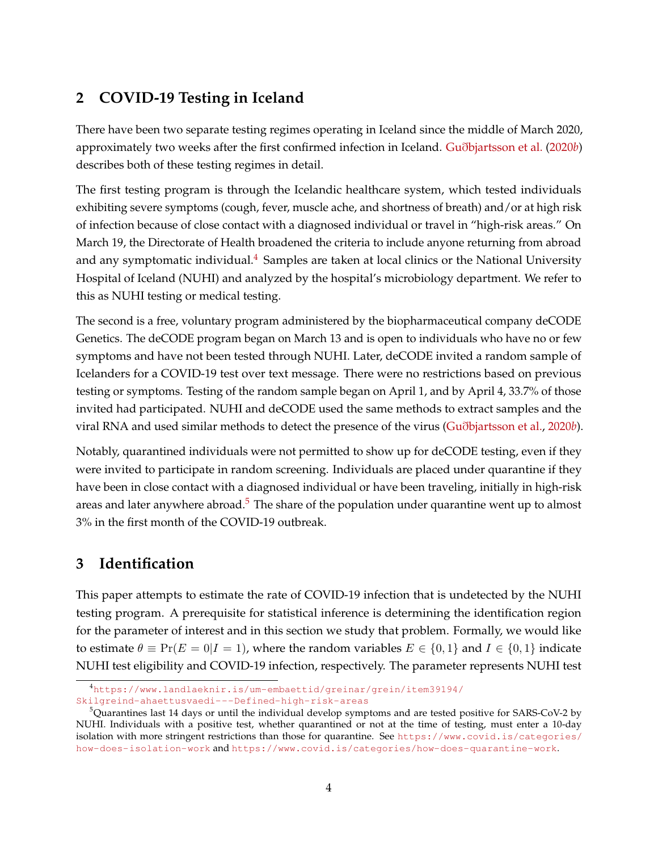# <span id="page-4-0"></span>**2 COVID-19 Testing in Iceland**

There have been two separate testing regimes operating in Iceland since the middle of March 2020, approximately two weeks after the first confirmed infection in Iceland. Guð[bjartsson et al.](#page-16-0) [\(2020](#page-16-0)*b*) describes both of these testing regimes in detail.

The first testing program is through the Icelandic healthcare system, which tested individuals exhibiting severe symptoms (cough, fever, muscle ache, and shortness of breath) and/or at high risk of infection because of close contact with a diagnosed individual or travel in "high-risk areas." On March 19, the Directorate of Health broadened the criteria to include anyone returning from abroad and any symptomatic individual. $4$  Samples are taken at local clinics or the National University Hospital of Iceland (NUHI) and analyzed by the hospital's microbiology department. We refer to this as NUHI testing or medical testing.

The second is a free, voluntary program administered by the biopharmaceutical company deCODE Genetics. The deCODE program began on March 13 and is open to individuals who have no or few symptoms and have not been tested through NUHI. Later, deCODE invited a random sample of Icelanders for a COVID-19 test over text message. There were no restrictions based on previous testing or symptoms. Testing of the random sample began on April 1, and by April 4, 33.7% of those invited had participated. NUHI and deCODE used the same methods to extract samples and the viral RNA and used similar methods to detect the presence of the virus (Guð[bjartsson et al.,](#page-16-0) [2020](#page-16-0)*b*).

Notably, quarantined individuals were not permitted to show up for deCODE testing, even if they were invited to participate in random screening. Individuals are placed under quarantine if they have been in close contact with a diagnosed individual or have been traveling, initially in high-risk areas and later anywhere abroad.<sup>[5](#page-4-3)</sup> The share of the population under quarantine went up to almost 3% in the first month of the COVID-19 outbreak.

# <span id="page-4-1"></span>**3 Identification**

This paper attempts to estimate the rate of COVID-19 infection that is undetected by the NUHI testing program. A prerequisite for statistical inference is determining the identification region for the parameter of interest and in this section we study that problem. Formally, we would like to estimate  $\theta \equiv \Pr(E = 0|I = 1)$ , where the random variables  $E \in \{0, 1\}$  and  $I \in \{0, 1\}$  indicate NUHI test eligibility and COVID-19 infection, respectively. The parameter represents NUHI test

<span id="page-4-2"></span><sup>4</sup>[https://www.landlaeknir.is/um-embaettid/greinar/grein/item39194/](https://www.landlaeknir.is/um-embaettid/greinar/grein/item39194/Skilgreind-ahaettusvaedi--- Defined-high-risk-areas)

[Skilgreind-ahaettusvaedi---Defined-high-risk-areas](https://www.landlaeknir.is/um-embaettid/greinar/grein/item39194/Skilgreind-ahaettusvaedi--- Defined-high-risk-areas)

<span id="page-4-3"></span> $5$ Quarantines last 14 days or until the individual develop symptoms and are tested positive for SARS-CoV-2 by NUHI. Individuals with a positive test, whether quarantined or not at the time of testing, must enter a 10-day isolation with more stringent restrictions than those for quarantine. See [https://www.covid.is/categories/](https://www.covid.is/categories/how-does-isolation-work) [how-does-isolation-work](https://www.covid.is/categories/how-does-isolation-work) and <https://www.covid.is/categories/how-does-quarantine-work>.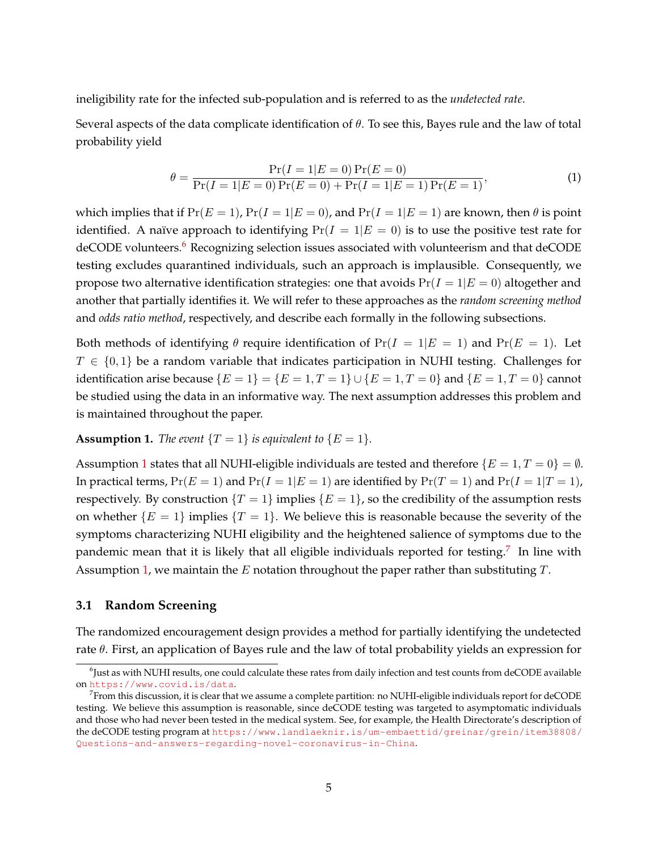ineligibility rate for the infected sub-population and is referred to as the *undetected rate*.

Several aspects of the data complicate identification of  $\theta$ . To see this, Bayes rule and the law of total probability yield

$$
\theta = \frac{\Pr(I = 1|E = 0)\Pr(E = 0)}{\Pr(I = 1|E = 0)\Pr(E = 0) + \Pr(I = 1|E = 1)\Pr(E = 1)},\tag{1}
$$

which implies that if  $Pr(E = 1)$ ,  $Pr(I = 1|E = 0)$ , and  $Pr(I = 1|E = 1)$  are known, then  $\theta$  is point identified. A naïve approach to identifying  $Pr(I = 1|E = 0)$  is to use the positive test rate for deCODE volunteers.<sup>[6](#page-5-0)</sup> Recognizing selection issues associated with volunteerism and that deCODE testing excludes quarantined individuals, such an approach is implausible. Consequently, we propose two alternative identification strategies: one that avoids  $Pr(I = 1|E = 0)$  altogether and another that partially identifies it. We will refer to these approaches as the *random screening method* and *odds ratio method*, respectively, and describe each formally in the following subsections.

Both methods of identifying  $\theta$  require identification of  $Pr(I = 1|E = 1)$  and  $Pr(E = 1)$ . Let  $T \in \{0,1\}$  be a random variable that indicates participation in NUHI testing. Challenges for identification arise because  ${E = 1} = {E = 1, T = 1} \cup {E = 1, T = 0}$  and  ${E = 1, T = 0}$  cannot be studied using the data in an informative way. The next assumption addresses this problem and is maintained throughout the paper.

### <span id="page-5-1"></span>**Assumption 1.** *The event*  $\{T = 1\}$  *is equivalent to*  $\{E = 1\}$ *.*

Assumption [1](#page-5-1) states that all NUHI-eligible individuals are tested and therefore  ${E = 1, T = 0} = \emptyset$ . In practical terms,  $Pr(E = 1)$  and  $Pr(I = 1|E = 1)$  are identified by  $Pr(T = 1)$  and  $Pr(I = 1|T = 1)$ , respectively. By construction  $\{T = 1\}$  implies  $\{E = 1\}$ , so the credibility of the assumption rests on whether  ${E = 1}$  implies  ${T = 1}$ . We believe this is reasonable because the severity of the symptoms characterizing NUHI eligibility and the heightened salience of symptoms due to the pandemic mean that it is likely that all eligible individuals reported for testing.<sup>[7](#page-5-2)</sup> In line with Assumption [1,](#page-5-1) we maintain the E notation throughout the paper rather than substituting  $T$ .

### **3.1 Random Screening**

The randomized encouragement design provides a method for partially identifying the undetected rate  $\theta$ . First, an application of Bayes rule and the law of total probability yields an expression for

<span id="page-5-0"></span><sup>6</sup> Just as with NUHI results, one could calculate these rates from daily infection and test counts from deCODE available on <https://www.covid.is/data>.

<span id="page-5-2"></span> $^7$ From this discussion, it is clear that we assume a complete partition: no NUHI-eligible individuals report for deCODE testing. We believe this assumption is reasonable, since deCODE testing was targeted to asymptomatic individuals and those who had never been tested in the medical system. See, for example, the Health Directorate's description of the deCODE testing program at [https://www.landlaeknir.is/um-embaettid/greinar/grein/item38808/](https://www.landlaeknir.is/um-embaettid/greinar/grein/item38808/Questions-and-answers-regarding-novel-coronavirus-in-China) [Questions-and-answers-regarding-novel-coronavirus-in-China](https://www.landlaeknir.is/um-embaettid/greinar/grein/item38808/Questions-and-answers-regarding-novel-coronavirus-in-China).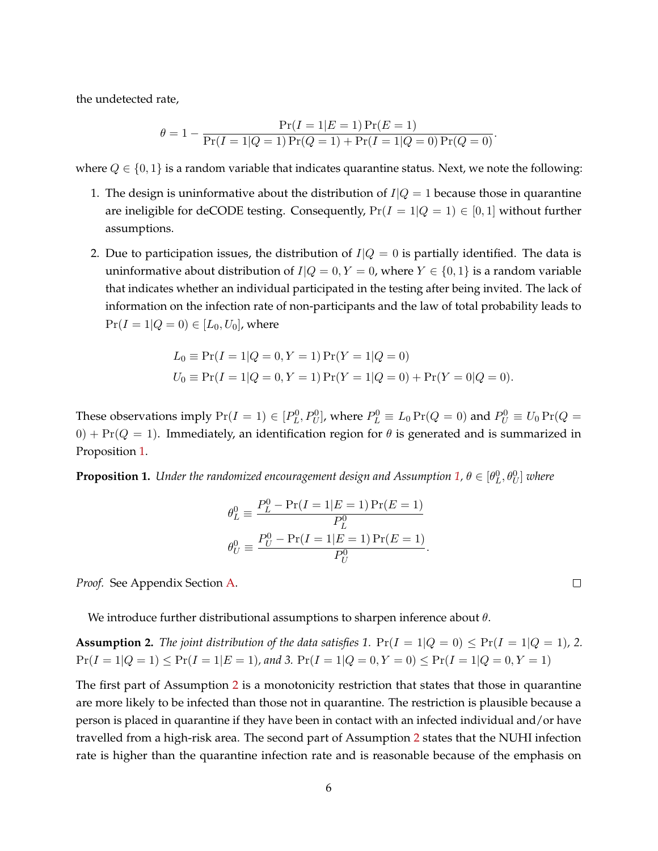the undetected rate,

$$
\theta = 1 - \frac{\Pr(I = 1|E = 1)\Pr(E = 1)}{\Pr(I = 1|Q = 1)\Pr(Q = 1) + \Pr(I = 1|Q = 0)\Pr(Q = 0)}.
$$

where  $Q \in \{0, 1\}$  is a random variable that indicates quarantine status. Next, we note the following:

- 1. The design is uninformative about the distribution of  $I|Q = 1$  because those in quarantine are ineligible for deCODE testing. Consequently,  $Pr(I = 1 | Q = 1) \in [0, 1]$  without further assumptions.
- 2. Due to participation issues, the distribution of  $I|Q = 0$  is partially identified. The data is uninformative about distribution of  $I|Q = 0, Y = 0$ , where  $Y \in \{0, 1\}$  is a random variable that indicates whether an individual participated in the testing after being invited. The lack of information on the infection rate of non-participants and the law of total probability leads to  $Pr(I = 1 | Q = 0) \in [L_0, U_0]$ , where

$$
L_0 \equiv \Pr(I = 1|Q = 0, Y = 1)\Pr(Y = 1|Q = 0)
$$
  
 
$$
U_0 \equiv \Pr(I = 1|Q = 0, Y = 1)\Pr(Y = 1|Q = 0) + \Pr(Y = 0|Q = 0).
$$

These observations imply  $Pr(I = 1) \in [P_L^0, P_U^0]$ , where  $P_L^0 \equiv L_0 Pr(Q = 0)$  and  $P_U^0 \equiv U_0 Pr(Q = 0)$  $0$ ) + Pr( $Q = 1$ ). Immediately, an identification region for  $\theta$  is generated and is summarized in Proposition [1.](#page-6-0)

<span id="page-6-0"></span>**Proposition 1.** Under the randomized encouragement design and Assumption [1,](#page-5-1)  $\theta \in [\theta_L^0, \theta_U^0]$  where

$$
\theta_L^0 \equiv \frac{P_L^0 - \Pr(I = 1|E = 1)\Pr(E = 1)}{P_L^0}
$$

$$
\theta_U^0 \equiv \frac{P_U^0 - \Pr(I = 1|E = 1)\Pr(E = 1)}{P_U^0}.
$$

*Proof.* See Appendix Section [A.](#page-18-0)

We introduce further distributional assumptions to sharpen inference about  $\theta$ .

<span id="page-6-1"></span>**Assumption 2.** *The joint distribution of the data satisfies 1.*  $Pr(I = 1|Q = 0) \leq Pr(I = 1|Q = 1)$ , 2.  $Pr(I = 1|Q = 1) \leq Pr(I = 1|E = 1)$ , and 3.  $Pr(I = 1|Q = 0, Y = 0) \leq Pr(I = 1|Q = 0, Y = 1)$ 

The first part of Assumption [2](#page-6-1) is a monotonicity restriction that states that those in quarantine are more likely to be infected than those not in quarantine. The restriction is plausible because a person is placed in quarantine if they have been in contact with an infected individual and/or have travelled from a high-risk area. The second part of Assumption [2](#page-6-1) states that the NUHI infection rate is higher than the quarantine infection rate and is reasonable because of the emphasis on

 $\Box$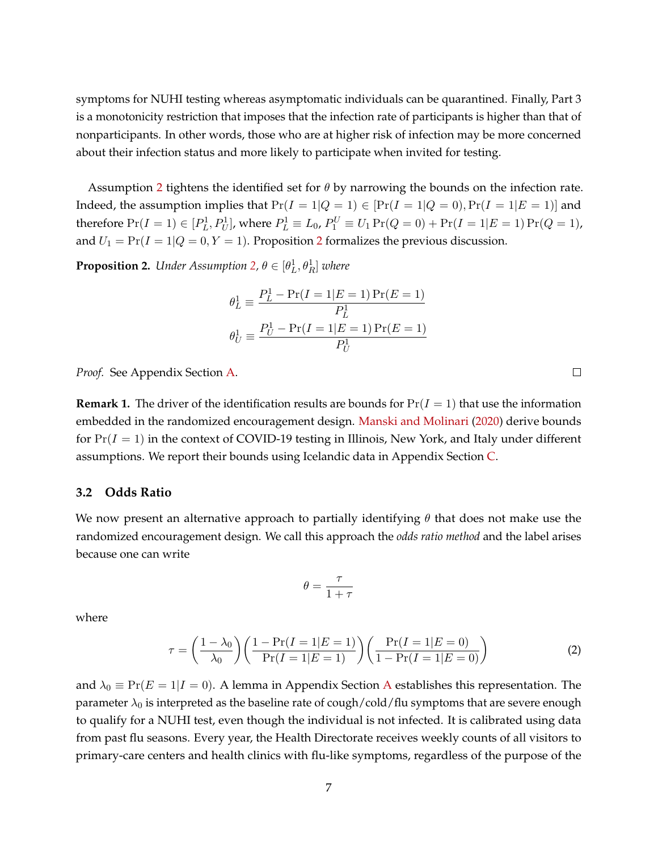symptoms for NUHI testing whereas asymptomatic individuals can be quarantined. Finally, Part 3 is a monotonicity restriction that imposes that the infection rate of participants is higher than that of nonparticipants. In other words, those who are at higher risk of infection may be more concerned about their infection status and more likely to participate when invited for testing.

Assumption [2](#page-6-1) tightens the identified set for  $\theta$  by narrowing the bounds on the infection rate. Indeed, the assumption implies that  $Pr(I = 1 | Q = 1) \in [Pr(I = 1 | Q = 0), Pr(I = 1 | E = 1)]$  and therefore  $Pr(I = 1) \in [P_L^1, P_U^1]$ , where  $P_L^1 \equiv L_0$ ,  $P_1^U \equiv U_1 Pr(Q = 0) + Pr(I = 1|E = 1) Pr(Q = 1)$ , and  $U_1 = Pr(I = 1 | Q = 0, Y = 1)$ . Proposition [2](#page-7-0) formalizes the previous discussion.

<span id="page-7-0"></span>**Proposition 2.** Under Assumption [2,](#page-6-1)  $\theta \in [\theta_L^1, \theta_R^1]$  where

$$
\theta_L^1 \equiv \frac{P_L^1 - \Pr(I = 1|E = 1)\Pr(E = 1)}{P_L^1}
$$

$$
\theta_U^1 \equiv \frac{P_U^1 - \Pr(I = 1|E = 1)\Pr(E = 1)}{P_U^1}
$$

*Proof.* See Appendix Section [A.](#page-18-0)

<span id="page-7-3"></span>**Remark 1.** The driver of the identification results are bounds for  $Pr(I = 1)$  that use the information embedded in the randomized encouragement design. [Manski and Molinari](#page-16-1) [\(2020\)](#page-16-1) derive bounds for  $Pr(I = 1)$  in the context of COVID-19 testing in Illinois, New York, and Italy under different assumptions. We report their bounds using Icelandic data in Appendix Section [C.](#page-23-0)

#### <span id="page-7-2"></span>**3.2 Odds Ratio**

We now present an alternative approach to partially identifying  $\theta$  that does not make use the randomized encouragement design. We call this approach the *odds ratio method* and the label arises because one can write

$$
\theta = \frac{\tau}{1 + \tau}
$$

where

$$
\tau = \left(\frac{1 - \lambda_0}{\lambda_0}\right) \left(\frac{1 - \Pr(I = 1|E = 1)}{\Pr(I = 1|E = 1)}\right) \left(\frac{\Pr(I = 1|E = 0)}{1 - \Pr(I = 1|E = 0)}\right)
$$
(2)

and  $\lambda_0 \equiv \Pr(E = 1 | I = 0)$ . [A](#page-18-0) lemma in Appendix Section A establishes this representation. The parameter  $\lambda_0$  is interpreted as the baseline rate of cough/cold/flu symptoms that are severe enough to qualify for a NUHI test, even though the individual is not infected. It is calibrated using data from past flu seasons. Every year, the Health Directorate receives weekly counts of all visitors to primary-care centers and health clinics with flu-like symptoms, regardless of the purpose of the

<span id="page-7-1"></span> $\Box$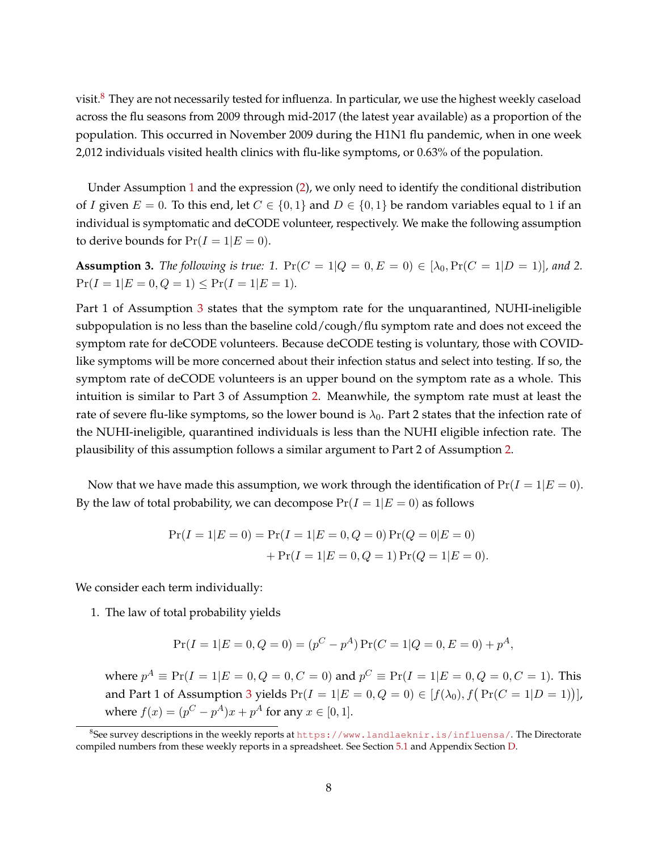visit.<sup>[8](#page-8-0)</sup> They are not necessarily tested for influenza. In particular, we use the highest weekly caseload across the flu seasons from 2009 through mid-2017 (the latest year available) as a proportion of the population. This occurred in November 2009 during the H1N1 flu pandemic, when in one week 2,012 individuals visited health clinics with flu-like symptoms, or 0.63% of the population.

Under Assumption [1](#page-5-1) and the expression [\(2\)](#page-7-1), we only need to identify the conditional distribution of I given  $E = 0$ . To this end, let  $C \in \{0,1\}$  and  $D \in \{0,1\}$  be random variables equal to 1 if an individual is symptomatic and deCODE volunteer, respectively. We make the following assumption to derive bounds for  $Pr(I = 1|E = 0)$ .

<span id="page-8-1"></span>**Assumption 3.** *The following is true:* 1.  $Pr(C = 1 | Q = 0, E = 0) \in [\lambda_0, Pr(C = 1 | D = 1)]$ *, and* 2.  $Pr(I = 1 | E = 0, Q = 1) \le Pr(I = 1 | E = 1).$ 

Part 1 of Assumption [3](#page-8-1) states that the symptom rate for the unquarantined, NUHI-ineligible subpopulation is no less than the baseline cold/cough/flu symptom rate and does not exceed the symptom rate for deCODE volunteers. Because deCODE testing is voluntary, those with COVIDlike symptoms will be more concerned about their infection status and select into testing. If so, the symptom rate of deCODE volunteers is an upper bound on the symptom rate as a whole. This intuition is similar to Part 3 of Assumption [2.](#page-6-1) Meanwhile, the symptom rate must at least the rate of severe flu-like symptoms, so the lower bound is  $\lambda_0$ . Part 2 states that the infection rate of the NUHI-ineligible, quarantined individuals is less than the NUHI eligible infection rate. The plausibility of this assumption follows a similar argument to Part 2 of Assumption [2.](#page-6-1)

Now that we have made this assumption, we work through the identification of  $Pr(I = 1|E = 0)$ . By the law of total probability, we can decompose  $Pr(I = 1|E = 0)$  as follows

$$
Pr(I = 1|E = 0) = Pr(I = 1|E = 0, Q = 0) Pr(Q = 0|E = 0)
$$

$$
+ Pr(I = 1|E = 0, Q = 1) Pr(Q = 1|E = 0).
$$

We consider each term individually:

1. The law of total probability yields

$$
Pr(I = 1|E = 0, Q = 0) = (pC - pA) Pr(C = 1|Q = 0, E = 0) + pA,
$$

where  $p^A \equiv \Pr(I = 1 | E = 0, Q = 0, C = 0)$  and  $p^C \equiv \Pr(I = 1 | E = 0, Q = 0, C = 1)$ . This and Part 1 of Assumption [3](#page-8-1) yields  $Pr(I = 1|E = 0, Q = 0) \in [f(\lambda_0), f(Pr(C = 1|D = 1))],$ where  $f(x) = (p^C - p^A)x + p^A$  for any  $x \in [0, 1]$ .

<span id="page-8-0"></span> $^8$ See survey descriptions in the weekly reports at <code><https://www.landlaeknir.is/influensa/></code>. The Directorate compiled numbers from these weekly reports in a spreadsheet. See Section [5.1](#page-12-1) and Appendix Section [D.](#page-24-0)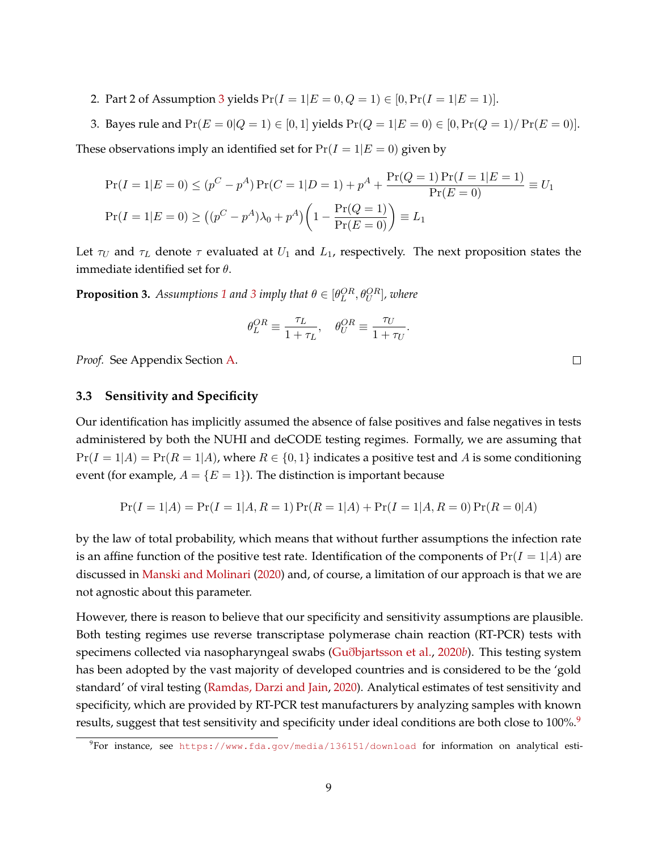2. Part 2 of Assumption [3](#page-8-1) yields  $Pr(I = 1|E = 0, Q = 1) \in [0, Pr(I = 1|E = 1)].$ 

3. Bayes rule and  $Pr(E = 0|Q = 1) \in [0, 1]$  yields  $Pr(Q = 1|E = 0) \in [0, Pr(Q = 1)/Pr(E = 0)].$ 

These observations imply an identified set for  $Pr(I = 1|E = 0)$  given by

$$
\Pr(I = 1|E = 0) \le (p^C - p^A)\Pr(C = 1|D = 1) + p^A + \frac{\Pr(Q = 1)\Pr(I = 1|E = 1)}{\Pr(E = 0)} \equiv U_1
$$
  

$$
\Pr(I = 1|E = 0) \ge ((p^C - p^A)\lambda_0 + p^A) \left(1 - \frac{\Pr(Q = 1)}{\Pr(E = 0)}\right) \equiv L_1
$$

Let  $\tau_U$  and  $\tau_L$  denote  $\tau$  evaluated at  $U_1$  and  $L_1$ , respectively. The next proposition states the immediate identified set for  $\theta$ .

<span id="page-9-1"></span>**Proposition [3](#page-8-1).** Assumptions [1](#page-5-1) and 3 imply that  $\theta \in [\theta_L^{OR}, \theta_U^{OR}]$ , where

$$
\theta_L^{OR} \equiv \frac{\tau_L}{1 + \tau_L}, \quad \theta_U^{OR} \equiv \frac{\tau_U}{1 + \tau_U}.
$$

*Proof.* See Appendix Section [A.](#page-18-0)

### **3.3 Sensitivity and Specificity**

Our identification has implicitly assumed the absence of false positives and false negatives in tests administered by both the NUHI and deCODE testing regimes. Formally, we are assuming that  $Pr(I = 1|A) = Pr(R = 1|A)$ , where  $R \in \{0, 1\}$  indicates a positive test and A is some conditioning event (for example,  $A = \{E = 1\}$ ). The distinction is important because

$$
Pr(I = 1|A) = Pr(I = 1|A, R = 1) Pr(R = 1|A) + Pr(I = 1|A, R = 0) Pr(R = 0|A)
$$

by the law of total probability, which means that without further assumptions the infection rate is an affine function of the positive test rate. Identification of the components of  $Pr(I = 1|A)$  are discussed in [Manski and Molinari](#page-16-1) [\(2020\)](#page-16-1) and, of course, a limitation of our approach is that we are not agnostic about this parameter.

However, there is reason to believe that our specificity and sensitivity assumptions are plausible. Both testing regimes use reverse transcriptase polymerase chain reaction (RT-PCR) tests with specimens collected via nasopharyngeal swabs (Guð[bjartsson et al.,](#page-16-0) [2020](#page-16-0)*b*). This testing system has been adopted by the vast majority of developed countries and is considered to be the 'gold standard' of viral testing [\(Ramdas, Darzi and Jain,](#page-17-9) [2020\)](#page-17-9). Analytical estimates of test sensitivity and specificity, which are provided by RT-PCR test manufacturers by analyzing samples with known results, suggest that test sensitivity and specificity under ideal conditions are both close to 100%.<sup>[9](#page-9-0)</sup>

 $\Box$ 

<span id="page-9-0"></span> $^{9}$ For instance, see <code><https://www.fda.gov/media/136151/download></code> for information on analytical esti-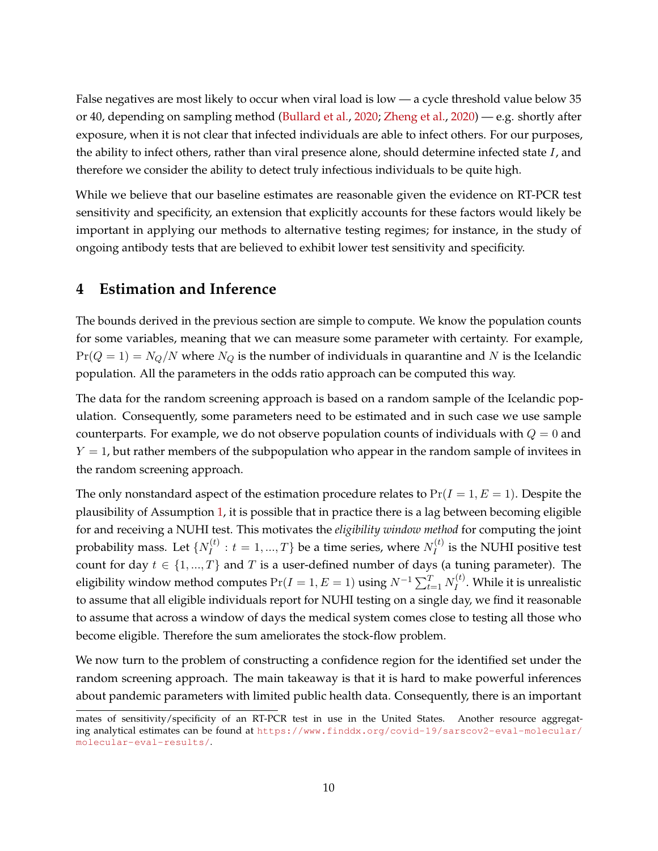False negatives are most likely to occur when viral load is low — a cycle threshold value below 35 or 40, depending on sampling method [\(Bullard et al.,](#page-16-10) [2020;](#page-16-10) [Zheng et al.,](#page-17-10) [2020\)](#page-17-10) — e.g. shortly after exposure, when it is not clear that infected individuals are able to infect others. For our purposes, the ability to infect others, rather than viral presence alone, should determine infected state  $I$ , and therefore we consider the ability to detect truly infectious individuals to be quite high.

While we believe that our baseline estimates are reasonable given the evidence on RT-PCR test sensitivity and specificity, an extension that explicitly accounts for these factors would likely be important in applying our methods to alternative testing regimes; for instance, in the study of ongoing antibody tests that are believed to exhibit lower test sensitivity and specificity.

# <span id="page-10-0"></span>**4 Estimation and Inference**

The bounds derived in the previous section are simple to compute. We know the population counts for some variables, meaning that we can measure some parameter with certainty. For example,  $Pr(Q = 1) = N_Q/N$  where  $N_Q$  is the number of individuals in quarantine and N is the Icelandic population. All the parameters in the odds ratio approach can be computed this way.

The data for the random screening approach is based on a random sample of the Icelandic population. Consequently, some parameters need to be estimated and in such case we use sample counterparts. For example, we do not observe population counts of individuals with  $Q = 0$  and  $Y = 1$ , but rather members of the subpopulation who appear in the random sample of invitees in the random screening approach.

The only nonstandard aspect of the estimation procedure relates to  $Pr(I = 1, E = 1)$ . Despite the plausibility of Assumption [1,](#page-5-1) it is possible that in practice there is a lag between becoming eligible for and receiving a NUHI test. This motivates the *eligibility window method* for computing the joint probability mass. Let  $\{N_I^{(t)}\}$  $I_I^{(t)}: t = 1, ..., T\}$  be a time series, where  $N_I^{(t)}$  $I_I^{(i)}$  is the NUHI positive test count for day  $t \in \{1, ..., T\}$  and T is a user-defined number of days (a tuning parameter). The eligibility window method computes  $\Pr(I=1, E=1)$  using  $N^{-1}\sum_{t=1}^T N_I^{(t)}$  $I_I^{(i)}$ . While it is unrealistic to assume that all eligible individuals report for NUHI testing on a single day, we find it reasonable to assume that across a window of days the medical system comes close to testing all those who become eligible. Therefore the sum ameliorates the stock-flow problem.

We now turn to the problem of constructing a confidence region for the identified set under the random screening approach. The main takeaway is that it is hard to make powerful inferences about pandemic parameters with limited public health data. Consequently, there is an important

mates of sensitivity/specificity of an RT-PCR test in use in the United States. Another resource aggregating analytical estimates can be found at [https://www.finddx.org/covid-19/sarscov2-eval-molecular/](https://www.finddx.org/covid-19/sarscov2-eval-molecular/molecular-eval-results/) [molecular-eval-results/](https://www.finddx.org/covid-19/sarscov2-eval-molecular/molecular-eval-results/).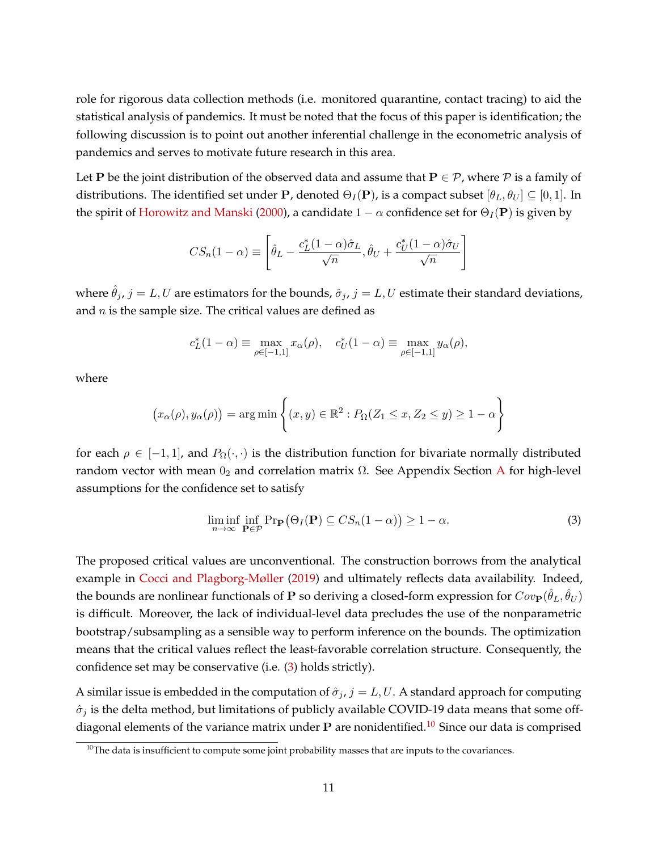role for rigorous data collection methods (i.e. monitored quarantine, contact tracing) to aid the statistical analysis of pandemics. It must be noted that the focus of this paper is identification; the following discussion is to point out another inferential challenge in the econometric analysis of pandemics and serves to motivate future research in this area.

Let **P** be the joint distribution of the observed data and assume that  $P \in \mathcal{P}$ , where  $\mathcal{P}$  is a family of distributions. The identified set under P, denoted  $\Theta_I({\bf P})$ , is a compact subset  $[\theta_L, \theta_U] \subseteq [0,1]$ . In the spirit of [Horowitz and Manski](#page-16-11) [\(2000\)](#page-16-11), a candidate  $1 - \alpha$  confidence set for  $\Theta_I(\mathbf{P})$  is given by

$$
CS_n(1-\alpha) \equiv \left[\hat{\theta}_L - \frac{c_L^*(1-\alpha)\hat{\sigma}_L}{\sqrt{n}}, \hat{\theta}_U + \frac{c_U^*(1-\alpha)\hat{\sigma}_U}{\sqrt{n}}\right]
$$

where  $\hat{\theta}_j$ ,  $j = L, U$  are estimators for the bounds,  $\hat{\sigma}_j$ ,  $j = L, U$  estimate their standard deviations, and  $n$  is the sample size. The critical values are defined as

$$
c_L^*(1-\alpha) \equiv \max_{\rho \in [-1,1]} x_\alpha(\rho), \quad c_U^*(1-\alpha) \equiv \max_{\rho \in [-1,1]} y_\alpha(\rho),
$$

where

$$
(x_{\alpha}(\rho), y_{\alpha}(\rho)) = \arg\min \left\{ (x, y) \in \mathbb{R}^2 : P_{\Omega}(Z_1 \le x, Z_2 \le y) \ge 1 - \alpha \right\}
$$

for each  $\rho \in [-1,1]$ , and  $P_{\Omega}(\cdot,\cdot)$  is the distribution function for bivariate normally distributed random vector with mean  $0_2$  and correlation matrix  $\Omega$ . See [A](#page-18-0)ppendix Section A for high-level assumptions for the confidence set to satisfy

<span id="page-11-0"></span>
$$
\liminf_{n \to \infty} \inf_{\mathbf{P} \in \mathcal{P}} \Pr(\Theta_I(\mathbf{P}) \subseteq CS_n(1-\alpha)) \ge 1-\alpha.
$$
 (3)

The proposed critical values are unconventional. The construction borrows from the analytical example in [Cocci and Plagborg-Møller](#page-16-12) [\(2019\)](#page-16-12) and ultimately reflects data availability. Indeed, the bounds are nonlinear functionals of **P** so deriving a closed-form expression for  $Cov_{\bf P}(\hat{\theta}_L,\hat{\theta}_U)$ is difficult. Moreover, the lack of individual-level data precludes the use of the nonparametric bootstrap/subsampling as a sensible way to perform inference on the bounds. The optimization means that the critical values reflect the least-favorable correlation structure. Consequently, the confidence set may be conservative (i.e. [\(3\)](#page-11-0) holds strictly).

A similar issue is embedded in the computation of  $\hat{\sigma}_j$ ,  $j = L, U$ . A standard approach for computing  $\hat{\sigma}_i$  is the delta method, but limitations of publicly available COVID-19 data means that some offdiagonal elements of the variance matrix under  $P$  are nonidentified.<sup>[10](#page-11-1)</sup> Since our data is comprised

<span id="page-11-1"></span> $10$ The data is insufficient to compute some joint probability masses that are inputs to the covariances.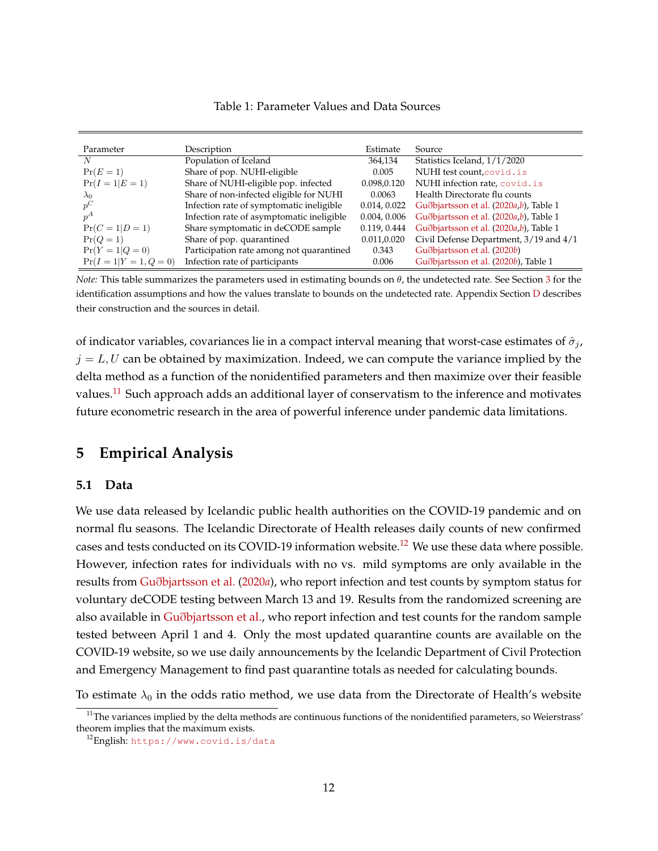<span id="page-12-4"></span>

| Table 1: Parameter Values and Data Sources |
|--------------------------------------------|
|--------------------------------------------|

| Parameter                  | Description                               | Estimate     | Source                                          |
|----------------------------|-------------------------------------------|--------------|-------------------------------------------------|
| N                          | Population of Iceland                     | 364,134      | Statistics Iceland, 1/1/2020                    |
| $Pr(E=1)$                  | Share of pop. NUHI-eligible               | 0.005        | NUHI test count, covid. is                      |
| $Pr(I = 1   E = 1)$        | Share of NUHI-eligible pop. infected      | 0.098,0.120  | NUHI infection rate, covid.is                   |
| $\lambda_0$                | Share of non-infected eligible for NUHI   | 0.0063       | Health Directorate flu counts                   |
| $p^C$                      | Infection rate of symptomatic ineligible  | 0.014, 0.022 | Guðbjartsson et al. (2020 <i>a,b</i> ), Table 1 |
| $p^A$                      | Infection rate of asymptomatic ineligible | 0.004, 0.006 | Guðbjartsson et al. (2020a,b), Table 1          |
| $Pr(C = 1 D = 1)$          | Share symptomatic in deCODE sample        | 0.119, 0.444 | Guðbjartsson et al. (2020a,b), Table 1          |
| $Pr(Q=1)$                  | Share of pop. quarantined                 | 0.011,0.020  | Civil Defense Department, 3/19 and 4/1          |
| $Pr(Y = 1   Q = 0)$        | Participation rate among not quarantined  | 0.343        | Guðbjartsson et al. (2020b)                     |
| $Pr(I = 1   Y = 1, Q = 0)$ | Infection rate of participants            | 0.006        | Guðbjartsson et al. (2020b), Table 1            |

*Note:* This table summarizes the parameters used in estimating bounds on  $\theta$ , the undetected rate. See Section [3](#page-4-1) for the identification assumptions and how the values translate to bounds on the undetected rate. Appendix Section [D](#page-24-0) describes their construction and the sources in detail.

of indicator variables, covariances lie in a compact interval meaning that worst-case estimates of  $\hat{\sigma}_j$ ,  $j = L, U$  can be obtained by maximization. Indeed, we can compute the variance implied by the delta method as a function of the nonidentified parameters and then maximize over their feasible values.<sup>[11](#page-12-2)</sup> Such approach adds an additional layer of conservatism to the inference and motivates future econometric research in the area of powerful inference under pandemic data limitations.

## <span id="page-12-0"></span>**5 Empirical Analysis**

#### <span id="page-12-1"></span>**5.1 Data**

We use data released by Icelandic public health authorities on the COVID-19 pandemic and on normal flu seasons. The Icelandic Directorate of Health releases daily counts of new confirmed cases and tests conducted on its COVID-19 information website.<sup>[12](#page-12-3)</sup> We use these data where possible. However, infection rates for individuals with no vs. mild symptoms are only available in the results from Guð[bjartsson et al.](#page-16-13) [\(2020](#page-16-13)*a*), who report infection and test counts by symptom status for voluntary deCODE testing between March 13 and 19. Results from the randomized screening are also available in Guð[bjartsson et al.,](#page-16-0) who report infection and test counts for the random sample tested between April 1 and 4. Only the most updated quarantine counts are available on the COVID-19 website, so we use daily announcements by the Icelandic Department of Civil Protection and Emergency Management to find past quarantine totals as needed for calculating bounds.

To estimate  $\lambda_0$  in the odds ratio method, we use data from the Directorate of Health's website

<span id="page-12-2"></span> $11$ The variances implied by the delta methods are continuous functions of the nonidentified parameters, so Weierstrass' theorem implies that the maximum exists.

<span id="page-12-3"></span><sup>&</sup>lt;sup>12</sup>English: <https://www.covid.is/data>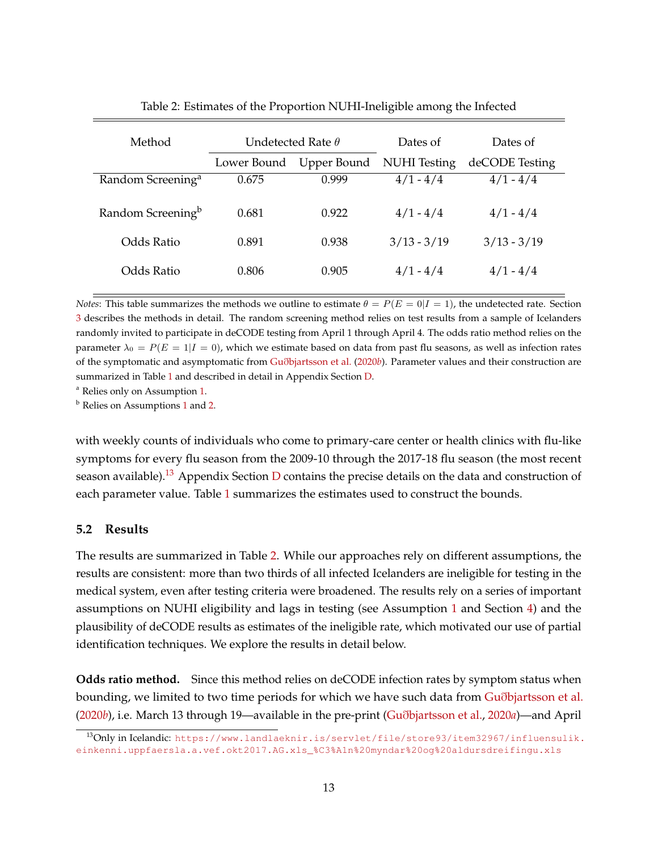| Method                        | Undetected Rate $\theta$ |             | Dates of            | Dates of       |
|-------------------------------|--------------------------|-------------|---------------------|----------------|
|                               | Lower Bound              | Upper Bound | <b>NUHI</b> Testing | deCODE Testing |
| Random Screening <sup>a</sup> | 0.675                    | 0.999       | $4/1 - 4/4$         | $4/1 - 4/4$    |
| Random Screening <sup>b</sup> | 0.681                    | 0.922       | $4/1 - 4/4$         | $4/1 - 4/4$    |
| Odds Ratio                    | 0.891                    | 0.938       | $3/13 - 3/19$       | $3/13 - 3/19$  |
| Odds Ratio                    | 0.806                    | 0.905       | $4/1 - 4/4$         | $4/1 - 4/4$    |

<span id="page-13-1"></span>

| Table 2: Estimates of the Proportion NUHI-Ineligible among the Infected |  |  |
|-------------------------------------------------------------------------|--|--|
|                                                                         |  |  |

*Notes*: This table summarizes the methods we outline to estimate  $\theta = P(E = 0|I = 1)$ , the undetected rate. Section [3](#page-4-1) describes the methods in detail. The random screening method relies on test results from a sample of Icelanders randomly invited to participate in deCODE testing from April 1 through April 4. The odds ratio method relies on the parameter  $\lambda_0 = P(E = 1 | I = 0)$ , which we estimate based on data from past flu seasons, as well as infection rates of the symptomatic and asymptomatic from Guð[bjartsson et al.](#page-16-0) [\(2020](#page-16-0)*b*). Parameter values and their construction are summarized in Table [1](#page-12-4) and described in detail in Appendix Section [D.](#page-24-0)

<sup>a</sup> Relies only on Assumption [1.](#page-5-1)

<sup>b</sup> Relies on Assumptions [1](#page-5-1) and [2.](#page-6-1)

with weekly counts of individuals who come to primary-care center or health clinics with flu-like symptoms for every flu season from the 2009-10 through the 2017-18 flu season (the most recent season available).<sup>[13](#page-13-0)</sup> Appendix Section [D](#page-24-0) contains the precise details on the data and construction of each parameter value. Table [1](#page-12-4) summarizes the estimates used to construct the bounds.

### **5.2 Results**

The results are summarized in Table [2.](#page-13-1) While our approaches rely on different assumptions, the results are consistent: more than two thirds of all infected Icelanders are ineligible for testing in the medical system, even after testing criteria were broadened. The results rely on a series of important assumptions on NUHI eligibility and lags in testing (see Assumption [1](#page-5-1) and Section [4\)](#page-10-0) and the plausibility of deCODE results as estimates of the ineligible rate, which motivated our use of partial identification techniques. We explore the results in detail below.

**Odds ratio method.** Since this method relies on deCODE infection rates by symptom status when bounding, we limited to two time periods for which we have such data from Guð[bjartsson et al.](#page-16-0) [\(2020](#page-16-0)*b*), i.e. March 13 through 19—available in the pre-print (Guð[bjartsson et al.,](#page-16-13) [2020](#page-16-13)*a*)—and April

<span id="page-13-0"></span><sup>&</sup>lt;sup>13</sup>Only in Icelandic: [https://www.landlaeknir.is/servlet/file/store93/item32967/influensulik.](https://www.landlaeknir.is/servlet/file/store93/item32967/influensulik.einkenni.uppfaersla.a.vef. okt2017.AG.xls_%C3%A1n%20myndar%20og%20aldursdreifingu.xls) [einkenni.uppfaersla.a.vef.okt2017.AG.xls\\_%C3%A1n%20myndar%20og%20aldursdreifingu.xls](https://www.landlaeknir.is/servlet/file/store93/item32967/influensulik.einkenni.uppfaersla.a.vef. okt2017.AG.xls_%C3%A1n%20myndar%20og%20aldursdreifingu.xls)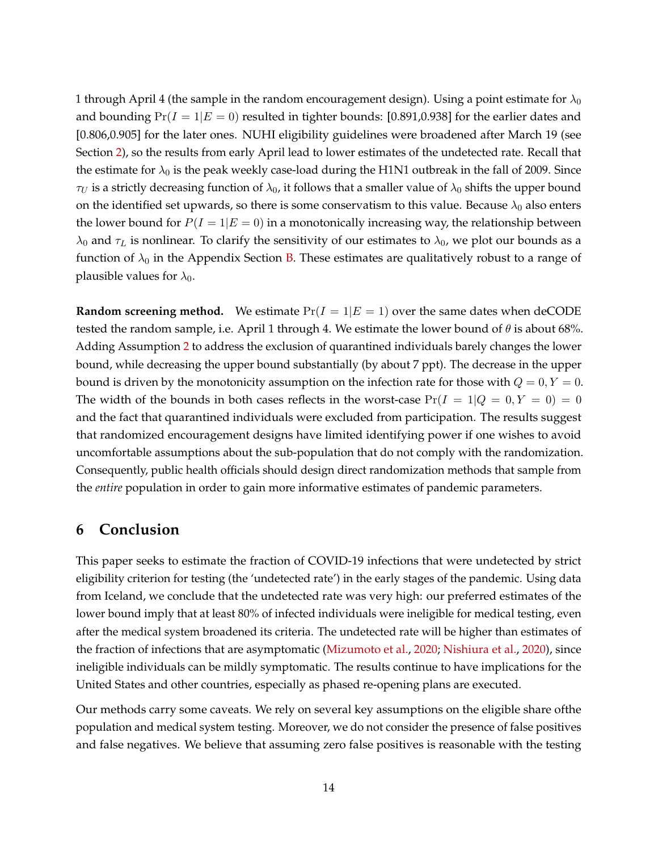1 through April 4 (the sample in the random encouragement design). Using a point estimate for  $\lambda_0$ and bounding  $Pr(I = 1|E = 0)$  resulted in tighter bounds: [0.891,0.938] for the earlier dates and [0.806,0.905] for the later ones. NUHI eligibility guidelines were broadened after March 19 (see Section [2\)](#page-4-0), so the results from early April lead to lower estimates of the undetected rate. Recall that the estimate for  $\lambda_0$  is the peak weekly case-load during the H1N1 outbreak in the fall of 2009. Since  $\tau_U$  is a strictly decreasing function of  $\lambda_0$ , it follows that a smaller value of  $\lambda_0$  shifts the upper bound on the identified set upwards, so there is some conservatism to this value. Because  $\lambda_0$  also enters the lower bound for  $P(I = 1|E = 0)$  in a monotonically increasing way, the relationship between  $\lambda_0$  and  $\tau_L$  is nonlinear. To clarify the sensitivity of our estimates to  $\lambda_0$ , we plot our bounds as a function of  $\lambda_0$  in the Appendix Section [B.](#page-22-0) These estimates are qualitatively robust to a range of plausible values for  $\lambda_0$ .

**Random screening method.** We estimate  $Pr(I = 1|E = 1)$  over the same dates when deCODE tested the random sample, i.e. April 1 through 4. We estimate the lower bound of  $\theta$  is about 68%. Adding Assumption [2](#page-6-1) to address the exclusion of quarantined individuals barely changes the lower bound, while decreasing the upper bound substantially (by about 7 ppt). The decrease in the upper bound is driven by the monotonicity assumption on the infection rate for those with  $Q = 0, Y = 0$ . The width of the bounds in both cases reflects in the worst-case  $Pr(I = 1|Q = 0, Y = 0) = 0$ and the fact that quarantined individuals were excluded from participation. The results suggest that randomized encouragement designs have limited identifying power if one wishes to avoid uncomfortable assumptions about the sub-population that do not comply with the randomization. Consequently, public health officials should design direct randomization methods that sample from the *entire* population in order to gain more informative estimates of pandemic parameters.

# **6 Conclusion**

This paper seeks to estimate the fraction of COVID-19 infections that were undetected by strict eligibility criterion for testing (the 'undetected rate') in the early stages of the pandemic. Using data from Iceland, we conclude that the undetected rate was very high: our preferred estimates of the lower bound imply that at least 80% of infected individuals were ineligible for medical testing, even after the medical system broadened its criteria. The undetected rate will be higher than estimates of the fraction of infections that are asymptomatic [\(Mizumoto et al.,](#page-16-3) [2020;](#page-16-3) [Nishiura et al.,](#page-16-4) [2020\)](#page-16-4), since ineligible individuals can be mildly symptomatic. The results continue to have implications for the United States and other countries, especially as phased re-opening plans are executed.

Our methods carry some caveats. We rely on several key assumptions on the eligible share ofthe population and medical system testing. Moreover, we do not consider the presence of false positives and false negatives. We believe that assuming zero false positives is reasonable with the testing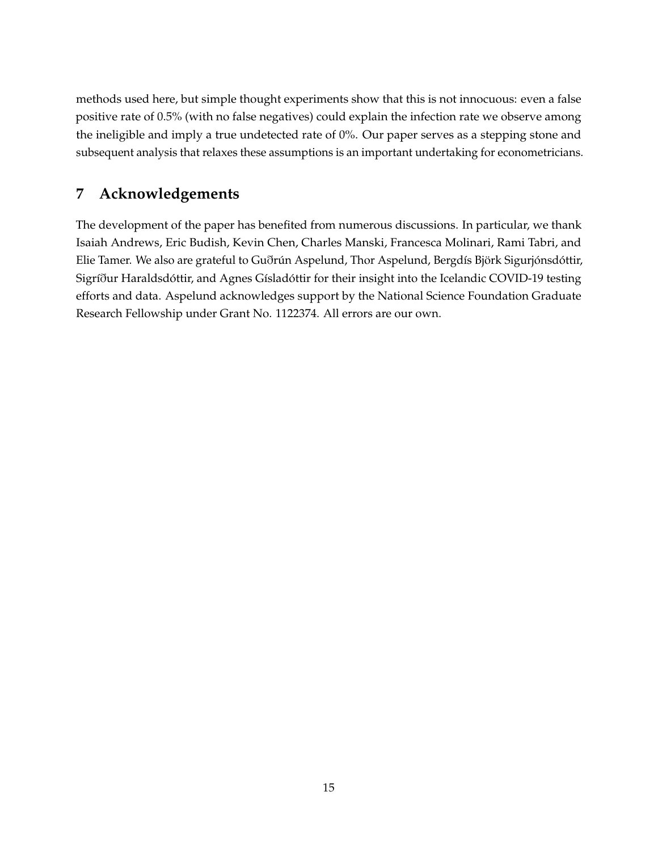methods used here, but simple thought experiments show that this is not innocuous: even a false positive rate of 0.5% (with no false negatives) could explain the infection rate we observe among the ineligible and imply a true undetected rate of 0%. Our paper serves as a stepping stone and subsequent analysis that relaxes these assumptions is an important undertaking for econometricians.

# **7 Acknowledgements**

The development of the paper has benefited from numerous discussions. In particular, we thank Isaiah Andrews, Eric Budish, Kevin Chen, Charles Manski, Francesca Molinari, Rami Tabri, and Elie Tamer. We also are grateful to Guðrún Aspelund, Thor Aspelund, Bergdís Björk Sigurjónsdóttir, Sigríður Haraldsdóttir, and Agnes Gísladóttir for their insight into the Icelandic COVID-19 testing efforts and data. Aspelund acknowledges support by the National Science Foundation Graduate Research Fellowship under Grant No. 1122374. All errors are our own.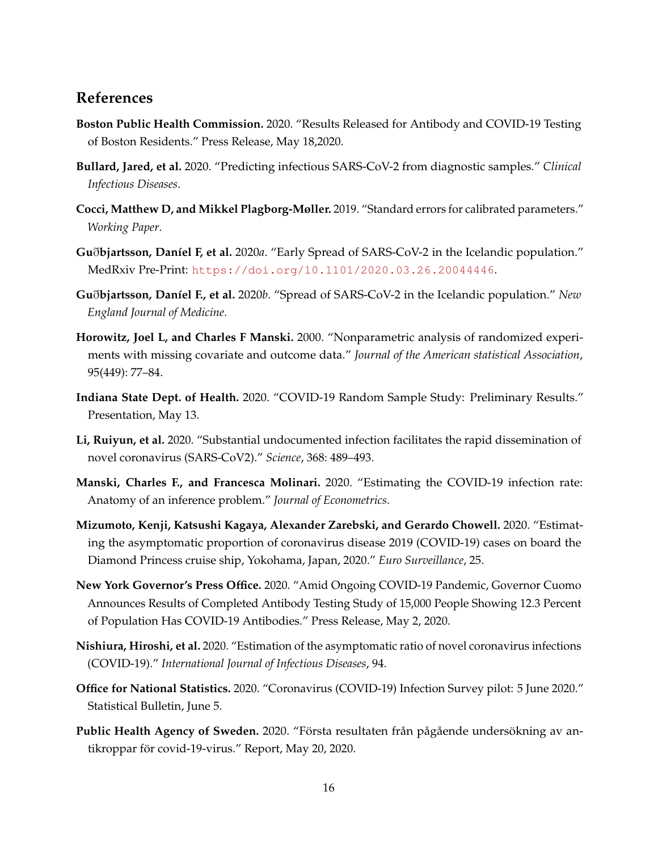## **References**

- <span id="page-16-6"></span>**Boston Public Health Commission.** 2020. "Results Released for Antibody and COVID-19 Testing of Boston Residents." Press Release, May 18,2020.
- <span id="page-16-10"></span>**Bullard, Jared, et al.** 2020. "Predicting infectious SARS-CoV-2 from diagnostic samples." *Clinical Infectious Diseases*.
- <span id="page-16-12"></span>**Cocci, Matthew D, and Mikkel Plagborg-Møller.** 2019. "Standard errors for calibrated parameters." *Working Paper*.
- <span id="page-16-13"></span>**Gu**ð**bjartsson, Dan´ıel F, et al.** 2020*a*. "Early Spread of SARS-CoV-2 in the Icelandic population." MedRxiv Pre-Print: <https://doi.org/10.1101/2020.03.26.20044446>.
- <span id="page-16-0"></span>Guðbjartsson, Daníel F., et al. 2020b. "Spread of SARS-CoV-2 in the Icelandic population." *New England Journal of Medicine*.
- <span id="page-16-11"></span>**Horowitz, Joel L, and Charles F Manski.** 2000. "Nonparametric analysis of randomized experiments with missing covariate and outcome data." *Journal of the American statistical Association*, 95(449): 77–84.
- <span id="page-16-9"></span>**Indiana State Dept. of Health.** 2020. "COVID-19 Random Sample Study: Preliminary Results." Presentation, May 13.
- <span id="page-16-2"></span>**Li, Ruiyun, et al.** 2020. "Substantial undocumented infection facilitates the rapid dissemination of novel coronavirus (SARS-CoV2)." *Science*, 368: 489–493.
- <span id="page-16-1"></span>**Manski, Charles F., and Francesca Molinari.** 2020. "Estimating the COVID-19 infection rate: Anatomy of an inference problem." *Journal of Econometrics*.
- <span id="page-16-3"></span>**Mizumoto, Kenji, Katsushi Kagaya, Alexander Zarebski, and Gerardo Chowell.** 2020. "Estimating the asymptomatic proportion of coronavirus disease 2019 (COVID-19) cases on board the Diamond Princess cruise ship, Yokohama, Japan, 2020." *Euro Surveillance*, 25.
- <span id="page-16-5"></span>**New York Governor's Press Office.** 2020. "Amid Ongoing COVID-19 Pandemic, Governor Cuomo Announces Results of Completed Antibody Testing Study of 15,000 People Showing 12.3 Percent of Population Has COVID-19 Antibodies." Press Release, May 2, 2020.
- <span id="page-16-4"></span>**Nishiura, Hiroshi, et al.** 2020. "Estimation of the asymptomatic ratio of novel coronavirus infections (COVID-19)." *International Journal of Infectious Diseases*, 94.
- <span id="page-16-8"></span>**Office for National Statistics.** 2020. "Coronavirus (COVID-19) Infection Survey pilot: 5 June 2020." Statistical Bulletin, June 5.
- <span id="page-16-7"></span>**Public Health Agency of Sweden.** 2020. "Första resultaten från pågående undersökning av antikroppar för covid-19-virus." Report, May 20, 2020.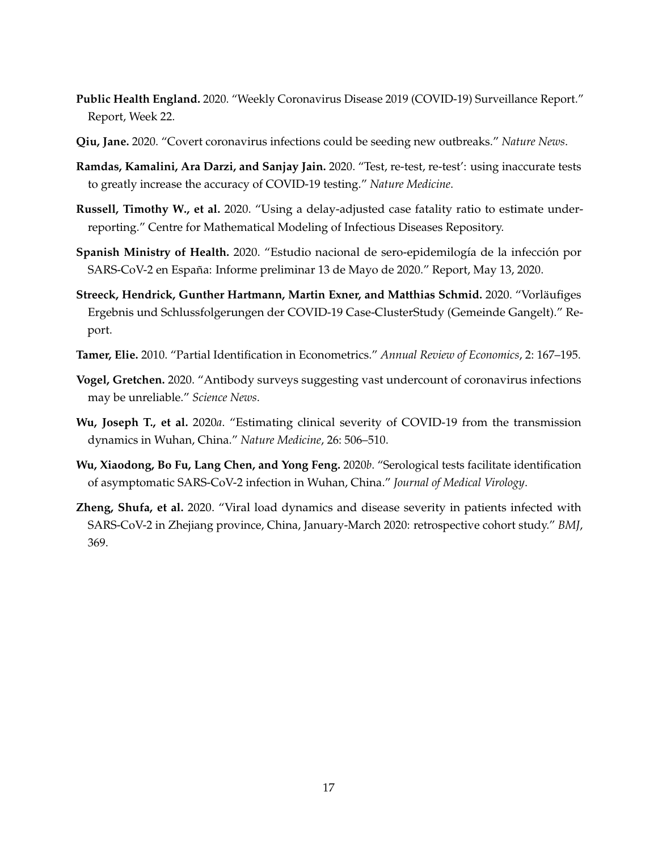- <span id="page-17-4"></span>**Public Health England.** 2020. "Weekly Coronavirus Disease 2019 (COVID-19) Surveillance Report." Report, Week 22.
- <span id="page-17-3"></span>**Qiu, Jane.** 2020. "Covert coronavirus infections could be seeding new outbreaks." *Nature News*.
- <span id="page-17-9"></span>**Ramdas, Kamalini, Ara Darzi, and Sanjay Jain.** 2020. "Test, re-test, re-test': using inaccurate tests to greatly increase the accuracy of COVID-19 testing." *Nature Medicine*.
- <span id="page-17-1"></span>**Russell, Timothy W., et al.** 2020. "Using a delay-adjusted case fatality ratio to estimate underreporting." Centre for Mathematical Modeling of Infectious Diseases Repository.
- <span id="page-17-5"></span>**Spanish Ministry of Health.** 2020. "Estudio nacional de sero-epidemilogía de la infección por SARS-CoV-2 en España: Informe preliminar 13 de Mayo de 2020." Report, May 13, 2020.
- <span id="page-17-7"></span>Streeck, Hendrick, Gunther Hartmann, Martin Exner, and Matthias Schmid. 2020. "Vorläufiges Ergebnis und Schlussfolgerungen der COVID-19 Case-ClusterStudy (Gemeinde Gangelt)." Report.
- <span id="page-17-0"></span>**Tamer, Elie.** 2010. "Partial Identification in Econometrics." *Annual Review of Economics*, 2: 167–195.
- <span id="page-17-8"></span>**Vogel, Gretchen.** 2020. "Antibody surveys suggesting vast undercount of coronavirus infections may be unreliable." *Science News*.
- <span id="page-17-2"></span>**Wu, Joseph T., et al.** 2020*a*. "Estimating clinical severity of COVID-19 from the transmission dynamics in Wuhan, China." *Nature Medicine*, 26: 506–510.
- <span id="page-17-6"></span>**Wu, Xiaodong, Bo Fu, Lang Chen, and Yong Feng.** 2020*b*. "Serological tests facilitate identification of asymptomatic SARS-CoV-2 infection in Wuhan, China." *Journal of Medical Virology*.
- <span id="page-17-10"></span>**Zheng, Shufa, et al.** 2020. "Viral load dynamics and disease severity in patients infected with SARS-CoV-2 in Zhejiang province, China, January-March 2020: retrospective cohort study." *BMJ*, 369.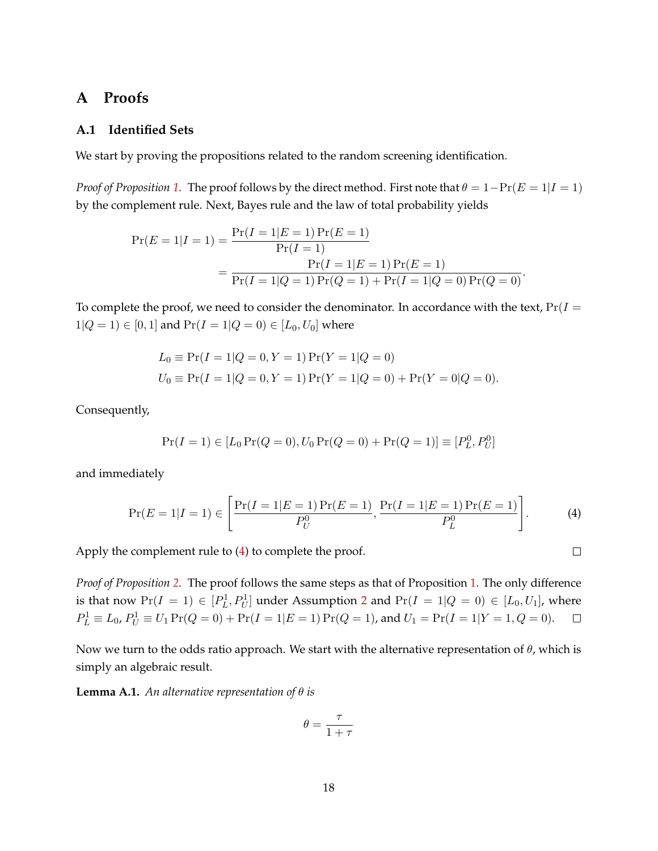## <span id="page-18-0"></span>**A Proofs**

### **A.1 Identified Sets**

We start by proving the propositions related to the random screening identification.

*Proof of Proposition* [1.](#page-6-0) The proof follows by the direct method. First note that  $\theta = 1 - Pr(E = 1 | I = 1)$ by the complement rule. Next, Bayes rule and the law of total probability yields

$$
Pr(E = 1|I = 1) = \frac{Pr(I = 1|E = 1)Pr(E = 1)}{Pr(I = 1)}
$$
  
= 
$$
\frac{Pr(I = 1|E = 1)Pr(E = 1)}{Pr(I = 1|Q = 1)Pr(Q = 1) + Pr(I = 1|Q = 0)Pr(Q = 0)}.
$$

To complete the proof, we need to consider the denominator. In accordance with the text,  $Pr(I =$  $1|Q = 1$   $\in [0, 1]$  and  $Pr(I = 1|Q = 0) \in [L_0, U_0]$  where

$$
L_0 \equiv \Pr(I = 1|Q = 0, Y = 1)\Pr(Y = 1|Q = 0)
$$
  
\n
$$
U_0 \equiv \Pr(I = 1|Q = 0, Y = 1)\Pr(Y = 1|Q = 0) + \Pr(Y = 0|Q = 0).
$$

Consequently,

$$
Pr(I = 1) \in [L_0 Pr(Q = 0), U_0 Pr(Q = 0) + Pr(Q = 1)] \equiv [P_L^0, P_U^0]
$$

and immediately

$$
\Pr(E=1|I=1) \in \left[\frac{\Pr(I=1|E=1)\Pr(E=1)}{P_U^0}, \frac{\Pr(I=1|E=1)\Pr(E=1)}{P_L^0}\right].\tag{4}
$$

<span id="page-18-1"></span> $\Box$ 

Apply the complement rule to [\(4\)](#page-18-1) to complete the proof.

*Proof of Proposition [2.](#page-7-0)* The proof follows the same steps as that of Proposition [1.](#page-6-0) The only difference is that now  $Pr(I = 1) \in [P_L^1, P_U^1]$  under Assumption [2](#page-6-1) and  $Pr(I = 1 | Q = 0) \in [L_0, U_1]$ , where  $P_L^1 \equiv L_0$ ,  $P_U^1 \equiv U_1 \Pr(Q = 0) + \Pr(I = 1|E = 1) \Pr(Q = 1)$ , and  $U_1 = \Pr(I = 1|Y = 1, Q = 0)$ .  $\Box$ 

Now we turn to the odds ratio approach. We start with the alternative representation of  $\theta$ , which is simply an algebraic result.

**Lemma A.1.** *An alternative representation of* θ *is*

$$
\theta = \frac{\tau}{1+\tau}
$$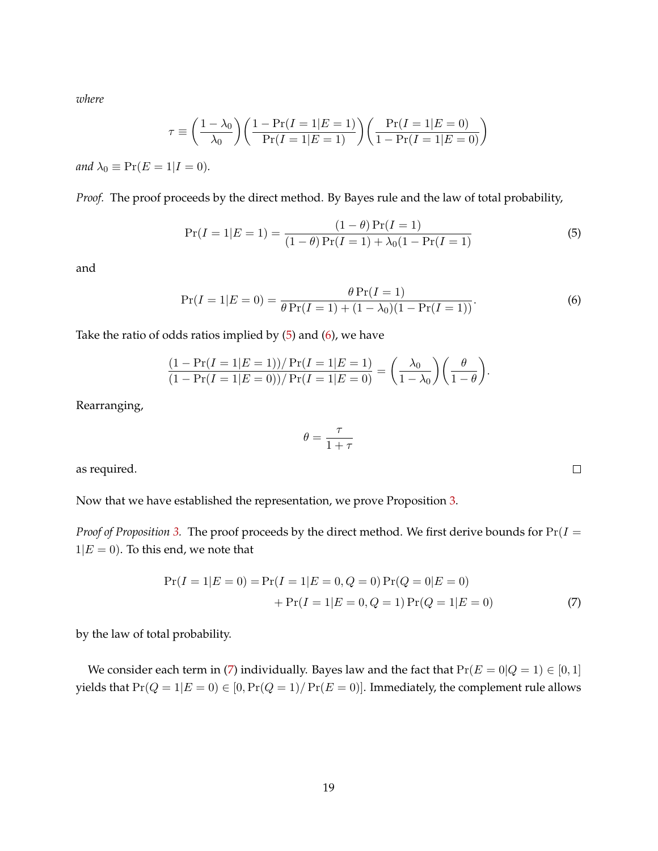*where*

$$
\tau \equiv \left(\frac{1 - \lambda_0}{\lambda_0}\right) \left(\frac{1 - \Pr(I = 1|E = 1)}{\Pr(I = 1|E = 1)}\right) \left(\frac{\Pr(I = 1|E = 0)}{1 - \Pr(I = 1|E = 0)}\right)
$$

*and*  $\lambda_0 \equiv \Pr(E = 1 | I = 0)$ *.* 

*Proof.* The proof proceeds by the direct method. By Bayes rule and the law of total probability,

$$
\Pr(I = 1|E = 1) = \frac{(1 - \theta)\Pr(I = 1)}{(1 - \theta)\Pr(I = 1) + \lambda_0(1 - \Pr(I = 1)}
$$
\n(5)

and

$$
\Pr(I=1|E=0) = \frac{\theta \Pr(I=1)}{\theta \Pr(I=1) + (1 - \lambda_0)(1 - \Pr(I=1))}.
$$
\n(6)

Take the ratio of odds ratios implied by  $(5)$  and  $(6)$ , we have

$$
\frac{(1-\Pr(I=1|E=1))/\Pr(I=1|E=1)}{(1-\Pr(I=1|E=0))/\Pr(I=1|E=0)} = \left(\frac{\lambda_0}{1-\lambda_0}\right)\left(\frac{\theta}{1-\theta}\right).
$$

Rearranging,

$$
\theta = \frac{\tau}{1+\tau}
$$

as required.

Now that we have established the representation, we prove Proposition [3.](#page-9-1)

*Proof of Proposition* [3.](#page-9-1) The proof proceeds by the direct method. We first derive bounds for  $Pr(I =$  $1|E = 0$ ). To this end, we note that

$$
Pr(I = 1|E = 0) = Pr(I = 1|E = 0, Q = 0) Pr(Q = 0|E = 0)
$$

$$
+ Pr(I = 1|E = 0, Q = 1) Pr(Q = 1|E = 0)
$$
(7)

by the law of total probability.

We consider each term in [\(7\)](#page-19-2) individually. Bayes law and the fact that  $Pr(E = 0|Q = 1) \in [0, 1]$ yields that  $Pr(Q = 1|E = 0) \in [0, Pr(Q = 1)/Pr(E = 0)]$ . Immediately, the complement rule allows

<span id="page-19-2"></span><span id="page-19-1"></span><span id="page-19-0"></span> $\Box$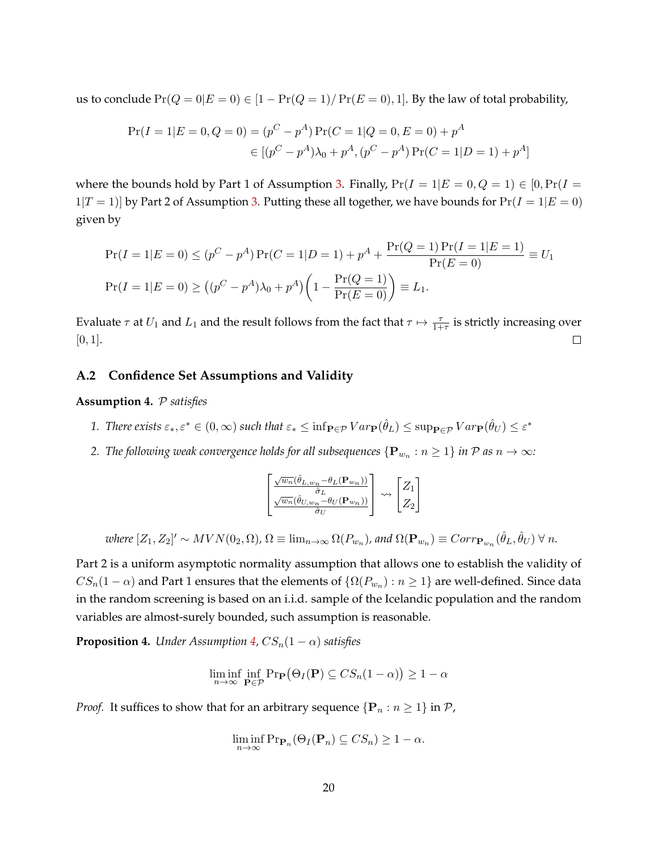us to conclude  $Pr(Q = 0|E = 0) \in [1 - Pr(Q = 1)/Pr(E = 0), 1]$ . By the law of total probability,

$$
Pr(I = 1|E = 0, Q = 0) = (p^{C} - p^{A}) Pr(C = 1|Q = 0, E = 0) + p^{A}
$$

$$
\in [(p^{C} - p^{A})\lambda_{0} + p^{A}, (p^{C} - p^{A}) Pr(C = 1|D = 1) + p^{A}]
$$

where the bounds hold by Part 1 of Assumption [3.](#page-8-1) Finally,  $Pr(I = 1|E = 0, Q = 1) \in [0, Pr(I = 1|Q])$  $1|T = 1|$  by Part 2 of Assumption [3.](#page-9-1) Putting these all together, we have bounds for  $Pr(I = 1|E = 0)$ given by

$$
\Pr(I = 1|E = 0) \le (p^C - p^A)\Pr(C = 1|D = 1) + p^A + \frac{\Pr(Q = 1)\Pr(I = 1|E = 1)}{\Pr(E = 0)} \equiv U_1
$$
  

$$
\Pr(I = 1|E = 0) \ge ((p^C - p^A)\lambda_0 + p^A) \left(1 - \frac{\Pr(Q = 1)}{\Pr(E = 0)}\right) \equiv L_1.
$$

Evaluate  $\tau$  at  $U_1$  and  $L_1$  and the result follows from the fact that  $\tau \mapsto \frac{\tau}{1+\tau}$  is strictly increasing over  $[0, 1]$ .  $\Box$ 

#### **A.2 Confidence Set Assumptions and Validity**

<span id="page-20-0"></span>**Assumption 4.** P *satisfies*

- 1. There exists  $\varepsilon_*, \varepsilon^* \in (0, \infty)$  such that  $\varepsilon_* \leq \inf_{\mathbf{P} \in \mathcal{P}} Var_{\mathbf{P}}(\hat{\theta}_L) \leq \sup_{\mathbf{P} \in \mathcal{P}} Var_{\mathbf{P}}(\hat{\theta}_U) \leq \varepsilon^*$
- 2. *The following weak convergence holds for all subsequences*  $\{{\bf P}_{w_n}: n\ge 1\}$  *in*  ${\cal P}$  *as*  $n\to\infty$ *:*

$$
\begin{bmatrix}\frac{\sqrt{w_n}(\hat{\theta}_{L,w_n}-\theta_L(\mathbf{P}_{w_n}))}{\hat{\sigma}_L} \\ \frac{\sqrt{w_n}(\hat{\theta}_{U,w_n}-\theta_U(\mathbf{P}_{w_n}))}{\hat{\sigma}_U}\end{bmatrix} \leadsto \begin{bmatrix} Z_1 \\ Z_2 \end{bmatrix}
$$

 $\omega$ here  $[Z_1, Z_2]' \sim MVN(0_2, \Omega)$ ,  $\Omega \equiv \lim_{n\to\infty} \Omega(P_{w_n})$ , and  $\Omega(\mathbf{P}_{w_n}) \equiv Corr_{\mathbf{P}_{w_n}}(\hat{\theta}_L, \hat{\theta}_U)$   $\forall$  n.

Part 2 is a uniform asymptotic normality assumption that allows one to establish the validity of  $CS_n(1-\alpha)$  and Part 1 ensures that the elements of  $\{\Omega(P_{w_n}) : n \geq 1\}$  are well-defined. Since data in the random screening is based on an i.i.d. sample of the Icelandic population and the random variables are almost-surely bounded, such assumption is reasonable.

**Proposition 4.** *Under Assumption [4,](#page-20-0)*  $CS_n(1-\alpha)$  *satisfies* 

$$
\liminf_{n \to \infty} \inf_{\mathbf{P} \in \mathcal{P}} \mathrm{Pr}_{\mathbf{P}}(\Theta_I(\mathbf{P}) \subseteq CS_n(1-\alpha)) \ge 1-\alpha
$$

*Proof.* It suffices to show that for an arbitrary sequence  $\{P_n : n \geq 1\}$  in  $P$ ,

$$
\liminf_{n \to \infty} \Pr_{\mathbf{P}_n}(\Theta_I(\mathbf{P}_n) \subseteq CS_n) \ge 1 - \alpha.
$$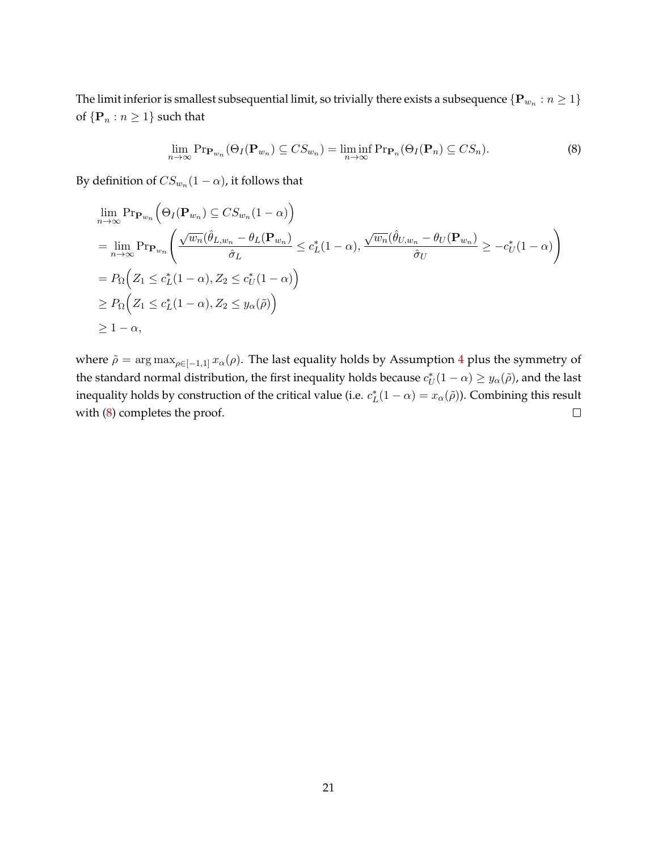The limit inferior is smallest subsequential limit, so trivially there exists a subsequence  $\{{\bf P}_{w_n}: n\ge 1\}$ of  $\{P_n : n \geq 1\}$  such that

<span id="page-21-0"></span>
$$
\lim_{n \to \infty} \Pr_{\mathbf{P}_{w_n}}(\Theta_I(\mathbf{P}_{w_n}) \subseteq CS_{w_n}) = \liminf_{n \to \infty} \Pr_{\mathbf{P}_n}(\Theta_I(\mathbf{P}_n) \subseteq CS_n).
$$
\n(8)

By definition of  $CS_{w_n}(1-\alpha)$ , it follows that

$$
\lim_{n \to \infty} \Pr_{\mathbf{P}_{w_n}} \left( \Theta_I(\mathbf{P}_{w_n}) \subseteq CS_{w_n}(1-\alpha) \right)
$$
\n
$$
= \lim_{n \to \infty} \Pr_{\mathbf{P}_{w_n}} \left( \frac{\sqrt{w_n}(\hat{\theta}_{L,w_n} - \theta_L(\mathbf{P}_{w_n})}{\hat{\sigma}_L} \le c_L^*(1-\alpha), \frac{\sqrt{w_n}(\hat{\theta}_{U,w_n} - \theta_U(\mathbf{P}_{w_n})}{\hat{\sigma}_U} \ge -c_U^*(1-\alpha) \right)
$$
\n
$$
= P_{\Omega} \left( Z_1 \le c_L^*(1-\alpha), Z_2 \le c_U^*(1-\alpha) \right)
$$
\n
$$
\ge P_{\Omega} \left( Z_1 \le c_L^*(1-\alpha), Z_2 \le y_\alpha(\tilde{\rho}) \right)
$$
\n
$$
\ge 1-\alpha,
$$

where  $\tilde{\rho} = \arg \max_{\rho \in [-1,1]} x_{\alpha}(\rho)$ . The last equality holds by Assumption [4](#page-20-0) plus the symmetry of the standard normal distribution, the first inequality holds because  $c_U^*(1-\alpha) \ge y_\alpha(\tilde\rho)$ , and the last inequality holds by construction of the critical value (i.e.  $c_L^*(1-\alpha) = x_\alpha(\tilde{\rho})$ ). Combining this result with [\(8\)](#page-21-0) completes the proof.  $\Box$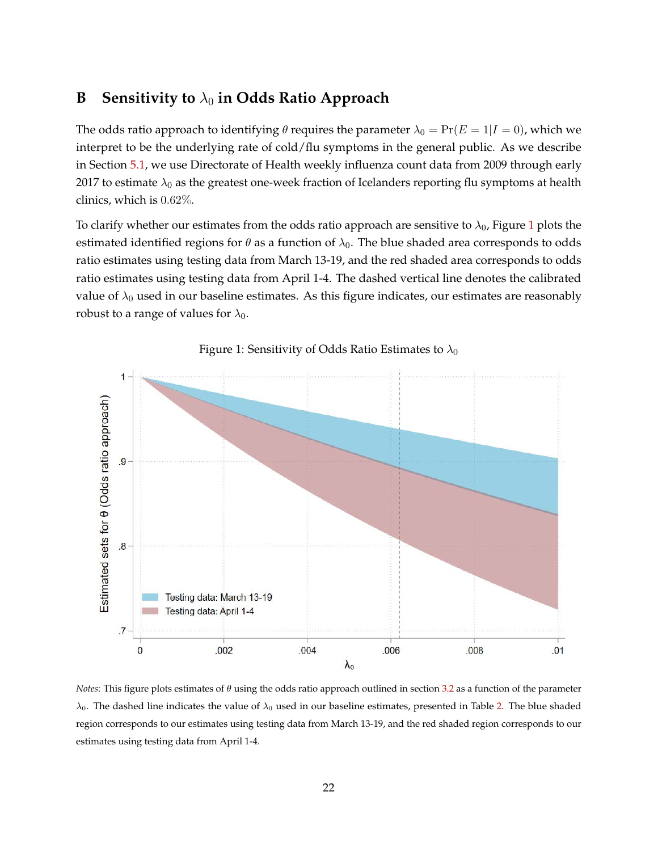# <span id="page-22-0"></span>**B** Sensitivity to  $\lambda_0$  in Odds Ratio Approach

The odds ratio approach to identifying  $\theta$  requires the parameter  $\lambda_0 = \Pr(E = 1 | I = 0)$ , which we interpret to be the underlying rate of cold/flu symptoms in the general public. As we describe in Section [5.1,](#page-12-1) we use Directorate of Health weekly influenza count data from 2009 through early 2017 to estimate  $\lambda_0$  as the greatest one-week fraction of Icelanders reporting flu symptoms at health clinics, which is 0.62%.

To clarify whether our estimates from the odds ratio approach are sensitive to  $\lambda_0$ , Figure [1](#page-22-1) plots the estimated identified regions for  $\theta$  as a function of  $\lambda_0$ . The blue shaded area corresponds to odds ratio estimates using testing data from March 13-19, and the red shaded area corresponds to odds ratio estimates using testing data from April 1-4. The dashed vertical line denotes the calibrated value of  $\lambda_0$  used in our baseline estimates. As this figure indicates, our estimates are reasonably robust to a range of values for  $\lambda_0$ .



<span id="page-22-1"></span>Figure 1: Sensitivity of Odds Ratio Estimates to  $\lambda_0$ 

*Notes*: This figure plots estimates of θ using the odds ratio approach outlined in section [3.2](#page-7-2) as a function of the parameter  $\lambda_0$ . The dashed line indicates the value of  $\lambda_0$  used in our baseline estimates, presented in Table [2.](#page-13-1) The blue shaded region corresponds to our estimates using testing data from March 13-19, and the red shaded region corresponds to our estimates using testing data from April 1-4.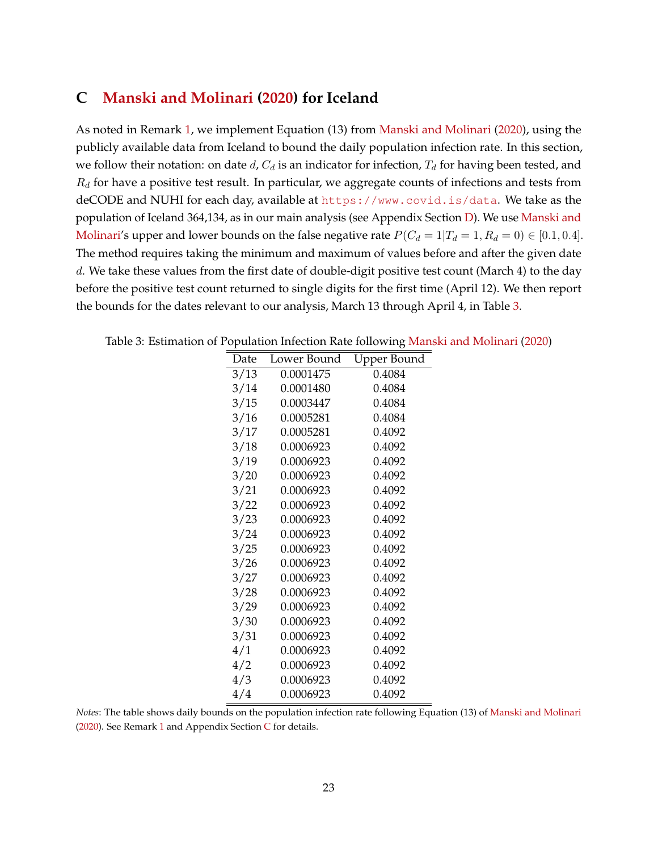# <span id="page-23-0"></span>**C [Manski and Molinari](#page-16-1) [\(2020\)](#page-16-1) for Iceland**

As noted in Remark [1,](#page-7-3) we implement Equation (13) from [Manski and Molinari](#page-16-1) [\(2020\)](#page-16-1), using the publicly available data from Iceland to bound the daily population infection rate. In this section, we follow their notation: on date d,  $C_d$  is an indicator for infection,  $T_d$  for having been tested, and  $R_d$  for have a positive test result. In particular, we aggregate counts of infections and tests from deCODE and NUHI for each day, available at <https://www.covid.is/data>. We take as the population of Iceland 364,134, as in our main analysis (see Appendix Section [D\)](#page-24-0). We use [Manski and](#page-16-1) [Molinari'](#page-16-1)s upper and lower bounds on the false negative rate  $P(C_d = 1|T_d = 1, R_d = 0) \in [0.1, 0.4]$ . The method requires taking the minimum and maximum of values before and after the given date d. We take these values from the first date of double-digit positive test count (March 4) to the day before the positive test count returned to single digits for the first time (April 12). We then report the bounds for the dates relevant to our analysis, March 13 through April 4, in Table [3.](#page-23-1)

| Date | Lower Bound | Upper Bound |
|------|-------------|-------------|
| 3/13 | 0.0001475   | 0.4084      |
| 3/14 | 0.0001480   | 0.4084      |
| 3/15 | 0.0003447   | 0.4084      |
| 3/16 | 0.0005281   | 0.4084      |
| 3/17 | 0.0005281   | 0.4092      |
| 3/18 | 0.0006923   | 0.4092      |
| 3/19 | 0.0006923   | 0.4092      |
| 3/20 | 0.0006923   | 0.4092      |
| 3/21 | 0.0006923   | 0.4092      |
| 3/22 | 0.0006923   | 0.4092      |
| 3/23 | 0.0006923   | 0.4092      |
| 3/24 | 0.0006923   | 0.4092      |
| 3/25 | 0.0006923   | 0.4092      |
| 3/26 | 0.0006923   | 0.4092      |
| 3/27 | 0.0006923   | 0.4092      |
| 3/28 | 0.0006923   | 0.4092      |
| 3/29 | 0.0006923   | 0.4092      |
| 3/30 | 0.0006923   | 0.4092      |
| 3/31 | 0.0006923   | 0.4092      |
| 4/1  | 0.0006923   | 0.4092      |
| 4/2  | 0.0006923   | 0.4092      |
| 4/3  | 0.0006923   | 0.4092      |
| 4/4  | 0.0006923   | 0.4092      |

<span id="page-23-1"></span>Table 3: Estimation of Population Infection Rate following [Manski and Molinari](#page-16-1) [\(2020\)](#page-16-1)

*Notes*: The table shows daily bounds on the population infection rate following Equation (13) of [Manski and Molinari](#page-16-1) [\(2020\)](#page-16-1). See Remark [1](#page-7-3) and Appendix Section [C](#page-23-0) for details.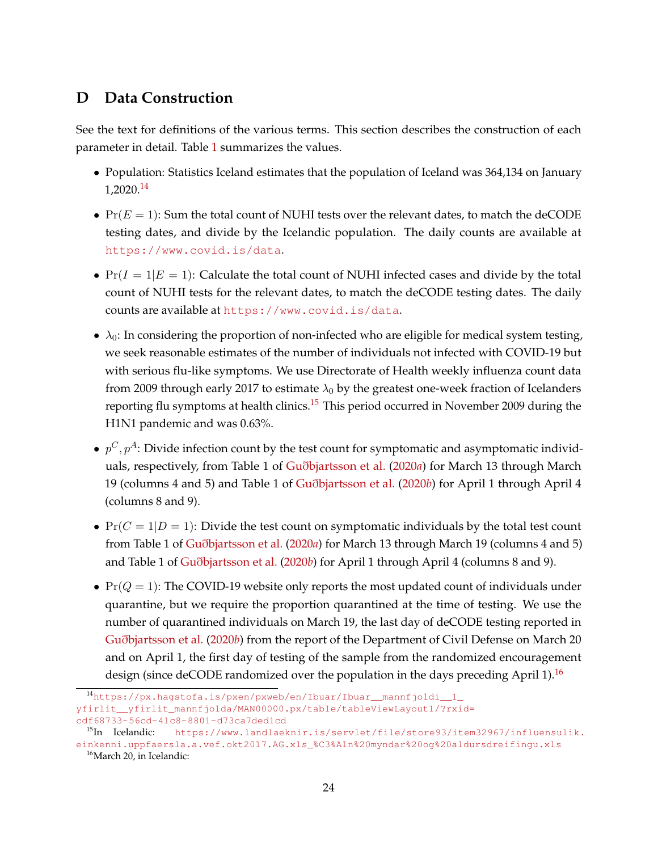# <span id="page-24-0"></span>**D Data Construction**

See the text for definitions of the various terms. This section describes the construction of each parameter in detail. Table [1](#page-12-4) summarizes the values.

- Population: Statistics Iceland estimates that the population of Iceland was 364,134 on January 1,2020.[14](#page-24-1)
- $Pr(E = 1)$ : Sum the total count of NUHI tests over the relevant dates, to match the deCODE testing dates, and divide by the Icelandic population. The daily counts are available at <https://www.covid.is/data>.
- $Pr(I = 1|E = 1)$ : Calculate the total count of NUHI infected cases and divide by the total count of NUHI tests for the relevant dates, to match the deCODE testing dates. The daily counts are available at <https://www.covid.is/data>.
- $\lambda_0$ : In considering the proportion of non-infected who are eligible for medical system testing, we seek reasonable estimates of the number of individuals not infected with COVID-19 but with serious flu-like symptoms. We use Directorate of Health weekly influenza count data from 2009 through early 2017 to estimate  $\lambda_0$  by the greatest one-week fraction of Icelanders reporting flu symptoms at health clinics.<sup>[15](#page-24-2)</sup> This period occurred in November 2009 during the H1N1 pandemic and was 0.63%.
- $\bullet~~ p^C, p^A \colon$  Divide infection count by the test count for symptomatic and asymptomatic individuals, respectively, from Table 1 of Guð[bjartsson et al.](#page-16-13) [\(2020](#page-16-13)*a*) for March 13 through March 19 (columns 4 and 5) and Table 1 of Guð[bjartsson et al.](#page-16-0) [\(2020](#page-16-0)*b*) for April 1 through April 4 (columns 8 and 9).
- $Pr(C = 1|D = 1)$ : Divide the test count on symptomatic individuals by the total test count from Table 1 of Guð[bjartsson et al.](#page-16-13) [\(2020](#page-16-13)*a*) for March 13 through March 19 (columns 4 and 5) and Table 1 of Guð[bjartsson et al.](#page-16-0) [\(2020](#page-16-0)*b*) for April 1 through April 4 (columns 8 and 9).
- $Pr(Q = 1)$ : The COVID-19 website only reports the most updated count of individuals under quarantine, but we require the proportion quarantined at the time of testing. We use the number of quarantined individuals on March 19, the last day of deCODE testing reported in Guð[bjartsson et al.](#page-16-0) [\(2020](#page-16-0)*b*) from the report of the Department of Civil Defense on March 20 and on April 1, the first day of testing of the sample from the randomized encouragement design (since deCODE randomized over the population in the days preceding April 1).<sup>[16](#page-24-3)</sup>

<span id="page-24-1"></span><sup>14</sup>[https://px.hagstofa.is/pxen/pxweb/en/Ibuar/Ibuar\\_\\_mannfjoldi\\_\\_1\\_](https://px.hagstofa.is/pxen/pxweb/en/Ibuar/Ibuar__mannfjoldi__1_yfirlit__yfirlit_mannfjolda/M AN00000.px/table/tableViewLayout1/?rxid=cdf68733-56cd-41c8-8801-d73ca7ded1cd)

[yfirlit\\_\\_yfirlit\\_mannfjolda/MAN00000.px/table/tableViewLayout1/?rxid=](https://px.hagstofa.is/pxen/pxweb/en/Ibuar/Ibuar__mannfjoldi__1_yfirlit__yfirlit_mannfjolda/M AN00000.px/table/tableViewLayout1/?rxid=cdf68733-56cd-41c8-8801-d73ca7ded1cd) [cdf68733-56cd-41c8-8801-d73ca7ded1cd](https://px.hagstofa.is/pxen/pxweb/en/Ibuar/Ibuar__mannfjoldi__1_yfirlit__yfirlit_mannfjolda/M AN00000.px/table/tableViewLayout1/?rxid=cdf68733-56cd-41c8-8801-d73ca7ded1cd)

<span id="page-24-2"></span><sup>&</sup>lt;sup>15</sup>In Icelandic: [https://www.landlaeknir.is/servlet/file/store93/item32967/influensulik.](https://www.landlaeknir.is/servlet/file/store93/item32967/influensulik.einkenni.uppfaersla.a.vef. okt2017.AG.xls_%C3%A1n%20myndar%20og%20aldursdreifingu.xls) [einkenni.uppfaersla.a.vef.okt2017.AG.xls\\_%C3%A1n%20myndar%20og%20aldursdreifingu.xls](https://www.landlaeknir.is/servlet/file/store93/item32967/influensulik.einkenni.uppfaersla.a.vef. okt2017.AG.xls_%C3%A1n%20myndar%20og%20aldursdreifingu.xls)

<span id="page-24-3"></span><sup>&</sup>lt;sup>16</sup>March 20, in Icelandic: